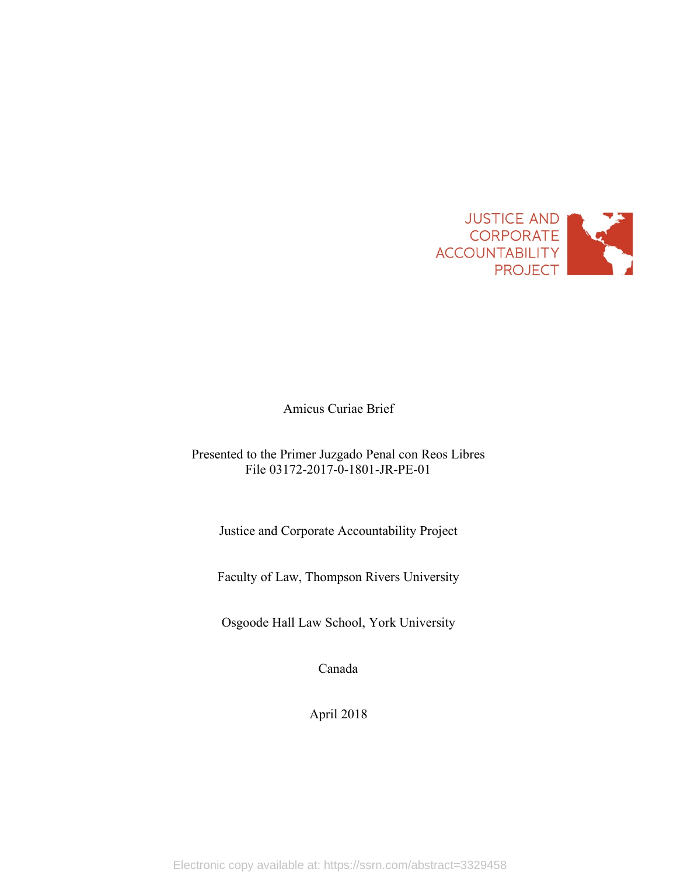

Amicus Curiae Brief

# Presented to the Primer Juzgado Penal con Reos Libres File 03172-2017-0-1801-JR-PE-01

Justice and Corporate Accountability Project

Faculty of Law, Thompson Rivers University

Osgoode Hall Law School, York University

Canada

April 2018

Electronic copy available at: https://ssrn.com/abstract=3329458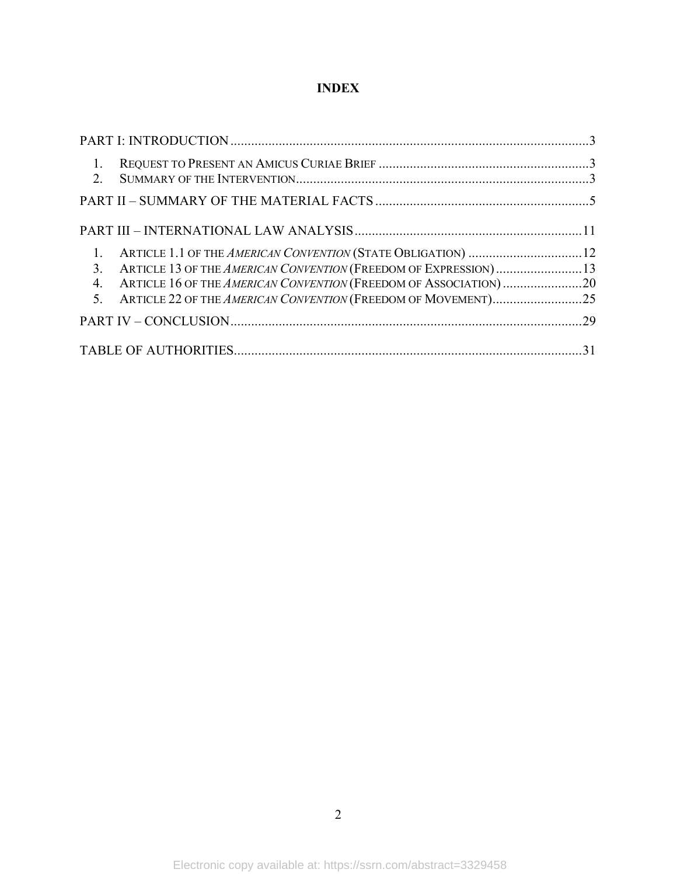# **INDEX**

| $\overline{1}$ .<br>$2^{\circ}$                                    |  |
|--------------------------------------------------------------------|--|
|                                                                    |  |
|                                                                    |  |
|                                                                    |  |
| 3. ARTICLE 13 OF THE AMERICAN CONVENTION (FREEDOM OF EXPRESSION)13 |  |
| 4.                                                                 |  |
|                                                                    |  |
|                                                                    |  |
|                                                                    |  |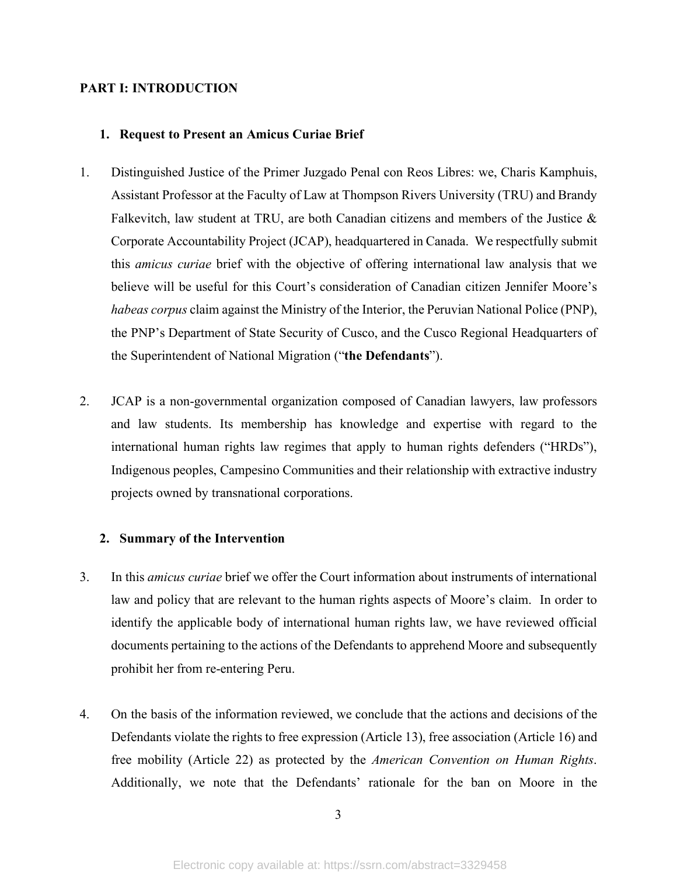# **PART I: INTRODUCTION**

# **1. Request to Present an Amicus Curiae Brief**

- 1. Distinguished Justice of the Primer Juzgado Penal con Reos Libres: we, Charis Kamphuis, Assistant Professor at the Faculty of Law at Thompson Rivers University (TRU) and Brandy Falkevitch, law student at TRU, are both Canadian citizens and members of the Justice & Corporate Accountability Project (JCAP), headquartered in Canada. We respectfully submit this *amicus curiae* brief with the objective of offering international law analysis that we believe will be useful for this Court's consideration of Canadian citizen Jennifer Moore's *habeas corpus* claim against the Ministry of the Interior, the Peruvian National Police (PNP), the PNP's Department of State Security of Cusco, and the Cusco Regional Headquarters of the Superintendent of National Migration ("**the Defendants**").
- 2. JCAP is a non-governmental organization composed of Canadian lawyers, law professors and law students. Its membership has knowledge and expertise with regard to the international human rights law regimes that apply to human rights defenders ("HRDs"), Indigenous peoples, Campesino Communities and their relationship with extractive industry projects owned by transnational corporations.

# **2. Summary of the Intervention**

- 3. In this *amicus curiae* brief we offer the Court information about instruments of international law and policy that are relevant to the human rights aspects of Moore's claim. In order to identify the applicable body of international human rights law, we have reviewed official documents pertaining to the actions of the Defendants to apprehend Moore and subsequently prohibit her from re-entering Peru.
- 4. On the basis of the information reviewed, we conclude that the actions and decisions of the Defendants violate the rights to free expression (Article 13), free association (Article 16) and free mobility (Article 22) as protected by the *American Convention on Human Rights*. Additionally, we note that the Defendants' rationale for the ban on Moore in the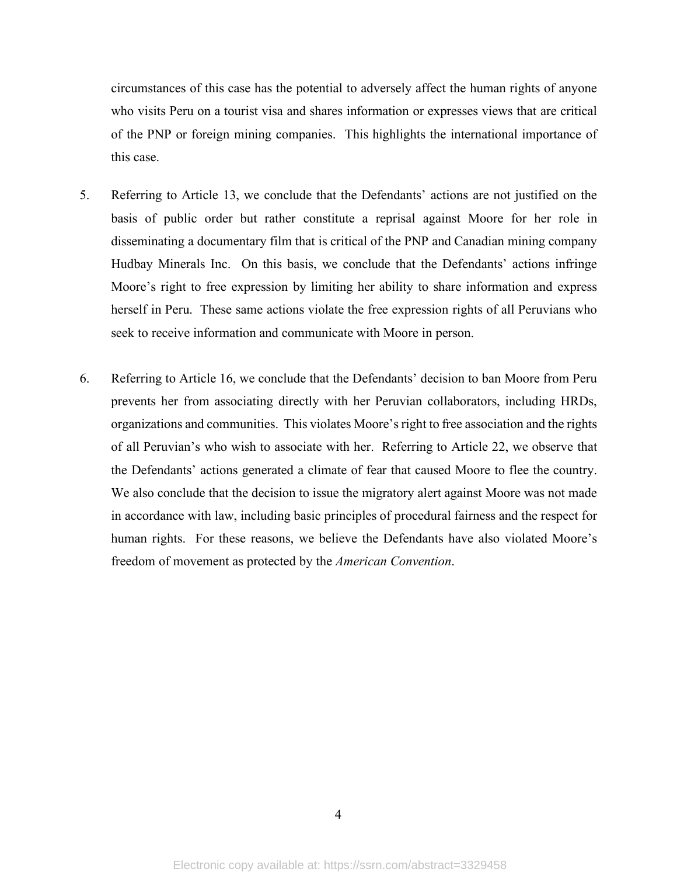circumstances of this case has the potential to adversely affect the human rights of anyone who visits Peru on a tourist visa and shares information or expresses views that are critical of the PNP or foreign mining companies. This highlights the international importance of this case.

- 5. Referring to Article 13, we conclude that the Defendants' actions are not justified on the basis of public order but rather constitute a reprisal against Moore for her role in disseminating a documentary film that is critical of the PNP and Canadian mining company Hudbay Minerals Inc. On this basis, we conclude that the Defendants' actions infringe Moore's right to free expression by limiting her ability to share information and express herself in Peru. These same actions violate the free expression rights of all Peruvians who seek to receive information and communicate with Moore in person.
- 6. Referring to Article 16, we conclude that the Defendants' decision to ban Moore from Peru prevents her from associating directly with her Peruvian collaborators, including HRDs, organizations and communities. This violates Moore'sright to free association and the rights of all Peruvian's who wish to associate with her. Referring to Article 22, we observe that the Defendants' actions generated a climate of fear that caused Moore to flee the country. We also conclude that the decision to issue the migratory alert against Moore was not made in accordance with law, including basic principles of procedural fairness and the respect for human rights. For these reasons, we believe the Defendants have also violated Moore's freedom of movement as protected by the *American Convention*.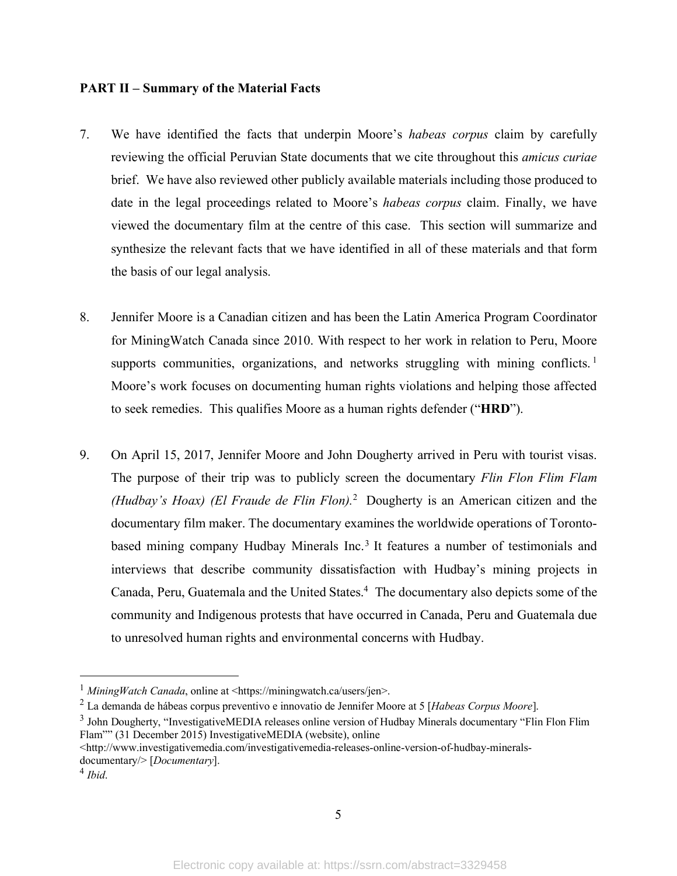# **PART II – Summary of the Material Facts**

- 7. We have identified the facts that underpin Moore's *habeas corpus* claim by carefully reviewing the official Peruvian State documents that we cite throughout this *amicus curiae* brief. We have also reviewed other publicly available materials including those produced to date in the legal proceedings related to Moore's *habeas corpus* claim. Finally, we have viewed the documentary film at the centre of this case. This section will summarize and synthesize the relevant facts that we have identified in all of these materials and that form the basis of our legal analysis.
- 8. Jennifer Moore is a Canadian citizen and has been the Latin America Program Coordinator for MiningWatch Canada since 2010. With respect to her work in relation to Peru, Moore supports communities, organizations, and networks struggling with mining conflicts.<sup>1</sup> Moore's work focuses on documenting human rights violations and helping those affected to seek remedies. This qualifies Moore as a human rights defender ("**HRD**").
- 9. On April 15, 2017, Jennifer Moore and John Dougherty arrived in Peru with tourist visas. The purpose of their trip was to publicly screen the documentary *Flin Flon Flim Flam (Hudbay's Hoax) (El Fraude de Flin Flon).*2 Dougherty is an American citizen and the documentary film maker. The documentary examines the worldwide operations of Torontobased mining company Hudbay Minerals Inc.<sup>3</sup> It features a number of testimonials and interviews that describe community dissatisfaction with Hudbay's mining projects in Canada, Peru, Guatemala and the United States.<sup>4</sup> The documentary also depicts some of the community and Indigenous protests that have occurred in Canada, Peru and Guatemala due to unresolved human rights and environmental concerns with Hudbay.

 <sup>1</sup> *MiningWatch Canada*, online at <https://miningwatch.ca/users/jen>.

<sup>2</sup> La demanda de hábeas corpus preventivo e innovatio de Jennifer Moore at 5 [*Habeas Corpus Moore*].

<sup>&</sup>lt;sup>3</sup> John Dougherty, "InvestigativeMEDIA releases online version of Hudbay Minerals documentary "Flin Flon Flim" Flam"" (31 December 2015) InvestigativeMEDIA (website), online

<sup>&</sup>lt;http://www.investigativemedia.com/investigativemedia-releases-online-version-of-hudbay-mineralsdocumentary/> [*Documentary*].

<sup>4</sup> *Ibid*.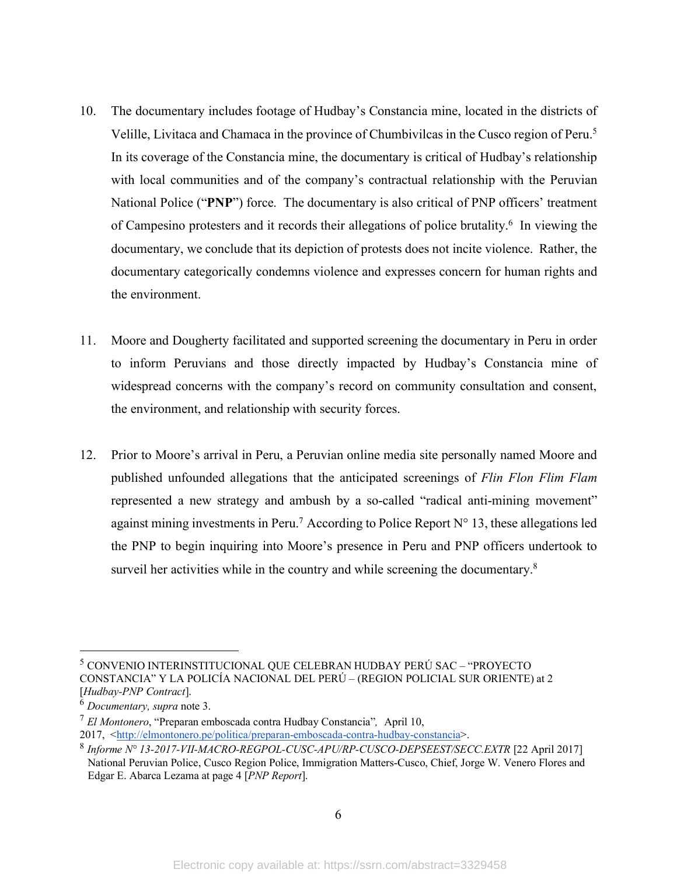- 10. The documentary includes footage of Hudbay's Constancia mine, located in the districts of Velille, Livitaca and Chamaca in the province of Chumbivilcas in the Cusco region of Peru.<sup>5</sup> In its coverage of the Constancia mine, the documentary is critical of Hudbay's relationship with local communities and of the company's contractual relationship with the Peruvian National Police ("PNP") force. The documentary is also critical of PNP officers' treatment of Campesino protesters and it records their allegations of police brutality.6 In viewing the documentary, we conclude that its depiction of protests does not incite violence. Rather, the documentary categorically condemns violence and expresses concern for human rights and the environment.
- 11. Moore and Dougherty facilitated and supported screening the documentary in Peru in order to inform Peruvians and those directly impacted by Hudbay's Constancia mine of widespread concerns with the company's record on community consultation and consent, the environment, and relationship with security forces.
- 12. Prior to Moore's arrival in Peru, a Peruvian online media site personally named Moore and published unfounded allegations that the anticipated screenings of *Flin Flon Flim Flam* represented a new strategy and ambush by a so-called "radical anti-mining movement" against mining investments in Peru.<sup>7</sup> According to Police Report  $N^{\circ}$  13, these allegations led the PNP to begin inquiring into Moore's presence in Peru and PNP officers undertook to surveil her activities while in the country and while screening the documentary.<sup>8</sup>

 <sup>5</sup> CONVENIO INTERINSTITUCIONAL QUE CELEBRAN HUDBAY PERÚ SAC – "PROYECTO CONSTANCIA" Y LA POLICÍA NACIONAL DEL PERÚ – (REGION POLICIAL SUR ORIENTE) at 2 [*Hudbay-PNP Contract*].

<sup>6</sup> *Documentary, supra* note 3. 7 *El Montonero*, "Preparan emboscada contra Hudbay Constancia"*,* April 10,

<sup>2017,</sup> <http://elmontonero.pe/politica/preparan-emboscada-contra-hudbay-constancia>.

<sup>8</sup> *Informe N° 13-2017-VII-MACRO-REGPOL-CUSC-APU/RP-CUSCO-DEPSEEST/SECC.EXTR* [22 April 2017] National Peruvian Police, Cusco Region Police, Immigration Matters-Cusco, Chief, Jorge W. Venero Flores and Edgar E. Abarca Lezama at page 4 [*PNP Report*].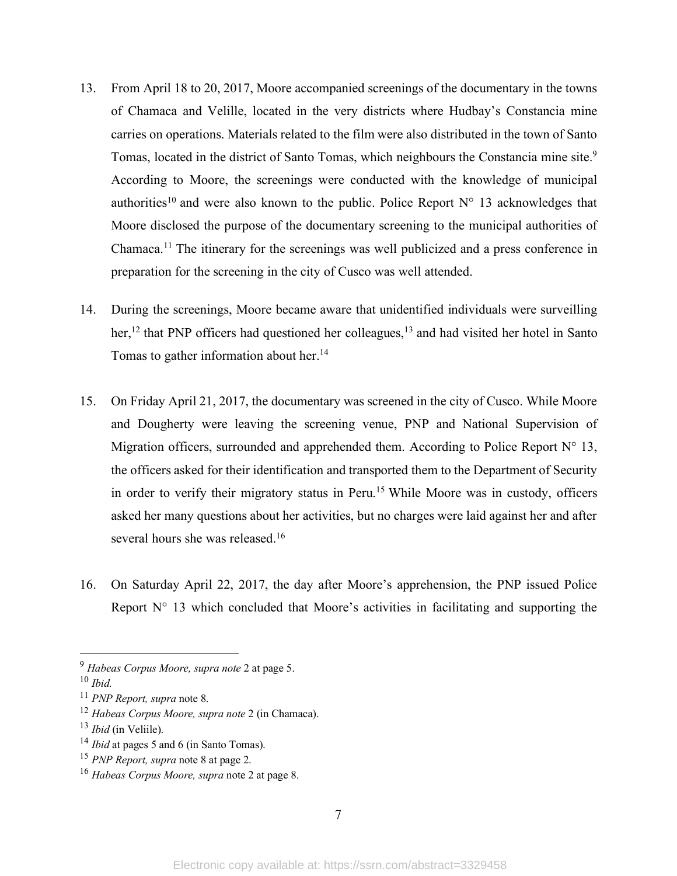- 13. From April 18 to 20, 2017, Moore accompanied screenings of the documentary in the towns of Chamaca and Velille, located in the very districts where Hudbay's Constancia mine carries on operations. Materials related to the film were also distributed in the town of Santo Tomas, located in the district of Santo Tomas, which neighbours the Constancia mine site.9 According to Moore, the screenings were conducted with the knowledge of municipal authorities<sup>10</sup> and were also known to the public. Police Report  $N^{\circ}$  13 acknowledges that Moore disclosed the purpose of the documentary screening to the municipal authorities of Chamaca.11 The itinerary for the screenings was well publicized and a press conference in preparation for the screening in the city of Cusco was well attended.
- 14. During the screenings, Moore became aware that unidentified individuals were surveilling her,<sup>12</sup> that PNP officers had questioned her colleagues,<sup>13</sup> and had visited her hotel in Santo Tomas to gather information about her.14
- 15. On Friday April 21, 2017, the documentary was screened in the city of Cusco. While Moore and Dougherty were leaving the screening venue, PNP and National Supervision of Migration officers, surrounded and apprehended them. According to Police Report  $N^{\circ}$  13, the officers asked for their identification and transported them to the Department of Security in order to verify their migratory status in Peru.<sup>15</sup> While Moore was in custody, officers asked her many questions about her activities, but no charges were laid against her and after several hours she was released.<sup>16</sup>
- 16. On Saturday April 22, 2017, the day after Moore's apprehension, the PNP issued Police Report  $N^{\circ}$  13 which concluded that Moore's activities in facilitating and supporting the

<sup>13</sup> *Ibid* (in Veliile).

 <sup>9</sup> *Habeas Corpus Moore, supra note* <sup>2</sup> at page 5.

<sup>10</sup> *Ibid.*

<sup>11</sup> *PNP Report, supra* note 8.

<sup>12</sup> *Habeas Corpus Moore, supra note* 2 (in Chamaca).

<sup>14</sup> *Ibid* at pages 5 and 6 (in Santo Tomas).

<sup>15</sup> *PNP Report, supra* note 8 at page 2.

<sup>16</sup> *Habeas Corpus Moore, supra* note 2 at page 8.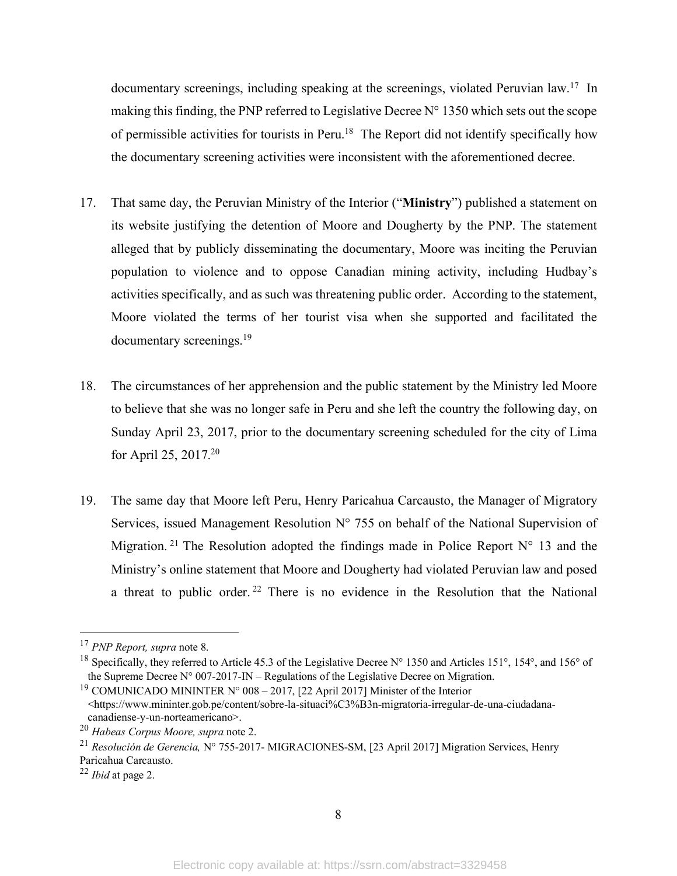documentary screenings, including speaking at the screenings, violated Peruvian law.17 In making this finding, the PNP referred to Legislative Decree  $N^{\circ}$  1350 which sets out the scope of permissible activities for tourists in Peru.18 The Report did not identify specifically how the documentary screening activities were inconsistent with the aforementioned decree.

- 17. That same day, the Peruvian Ministry of the Interior ("**Ministry**") published a statement on its website justifying the detention of Moore and Dougherty by the PNP. The statement alleged that by publicly disseminating the documentary, Moore was inciting the Peruvian population to violence and to oppose Canadian mining activity, including Hudbay's activities specifically, and as such was threatening public order. According to the statement, Moore violated the terms of her tourist visa when she supported and facilitated the documentary screenings.19
- 18. The circumstances of her apprehension and the public statement by the Ministry led Moore to believe that she was no longer safe in Peru and she left the country the following day, on Sunday April 23, 2017, prior to the documentary screening scheduled for the city of Lima for April 25, 2017.20
- 19. The same day that Moore left Peru, Henry Paricahua Carcausto, the Manager of Migratory Services, issued Management Resolution N° 755 on behalf of the National Supervision of Migration.<sup>21</sup> The Resolution adopted the findings made in Police Report  $N^{\circ}$  13 and the Ministry's online statement that Moore and Dougherty had violated Peruvian law and posed a threat to public order. <sup>22</sup> There is no evidence in the Resolution that the National

 <sup>17</sup> *PNP Report, supra* note 8.

<sup>18</sup> Specifically, they referred to Article 45.3 of the Legislative Decree N° 1350 and Articles 151°, 154°, and 156° of the Supreme Decree N° 007-2017-IN – Regulations of the Legislative Decree on Migration.

<sup>&</sup>lt;sup>19</sup> COMUNICADO MININTER N° 008 – 2017, [22 April 2017] Minister of the Interior

<sup>&</sup>lt;https://www.mininter.gob.pe/content/sobre-la-situaci%C3%B3n-migratoria-irregular-de-una-ciudadanacanadiense-y-un-norteamericano>.

<sup>20</sup> *Habeas Corpus Moore, supra* note 2.

<sup>21</sup> *Resolución de Gerencia,* N° 755-2017- MIGRACIONES-SM, [23 April 2017] Migration Services, Henry Paricahua Carcausto.

<sup>22</sup> *Ibid* at page 2.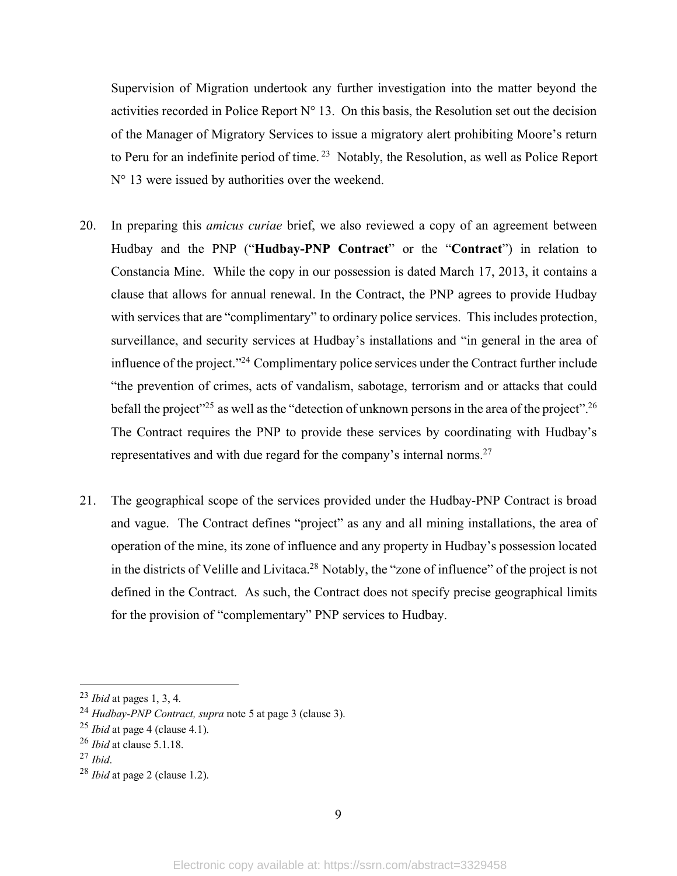Supervision of Migration undertook any further investigation into the matter beyond the activities recorded in Police Report  $N^{\circ}$  13. On this basis, the Resolution set out the decision of the Manager of Migratory Services to issue a migratory alert prohibiting Moore's return to Peru for an indefinite period of time. <sup>23</sup> Notably, the Resolution, as well as Police Report N° 13 were issued by authorities over the weekend.

- 20. In preparing this *amicus curiae* brief, we also reviewed a copy of an agreement between Hudbay and the PNP ("**Hudbay-PNP Contract**" or the "**Contract**") in relation to Constancia Mine. While the copy in our possession is dated March 17, 2013, it contains a clause that allows for annual renewal. In the Contract, the PNP agrees to provide Hudbay with services that are "complimentary" to ordinary police services. This includes protection, surveillance, and security services at Hudbay's installations and "in general in the area of influence of the project."24 Complimentary police services under the Contract further include "the prevention of crimes, acts of vandalism, sabotage, terrorism and or attacks that could befall the project"<sup>25</sup> as well as the "detection of unknown persons in the area of the project".<sup>26</sup> The Contract requires the PNP to provide these services by coordinating with Hudbay's representatives and with due regard for the company's internal norms.27
- 21. The geographical scope of the services provided under the Hudbay-PNP Contract is broad and vague. The Contract defines "project" as any and all mining installations, the area of operation of the mine, its zone of influence and any property in Hudbay's possession located in the districts of Velille and Livitaca.28 Notably, the "zone of influence" of the project is not defined in the Contract. As such, the Contract does not specify precise geographical limits for the provision of "complementary" PNP services to Hudbay.

 <sup>23</sup> *Ibid* at pages 1, 3, 4.

<sup>24</sup> *Hudbay-PNP Contract, supra* note 5 at page 3 (clause 3).

<sup>25</sup> *Ibid* at page 4 (clause 4.1).

<sup>26</sup> *Ibid* at clause 5.1.18.

<sup>27</sup> *Ibid*.

<sup>28</sup> *Ibid* at page 2 (clause 1.2).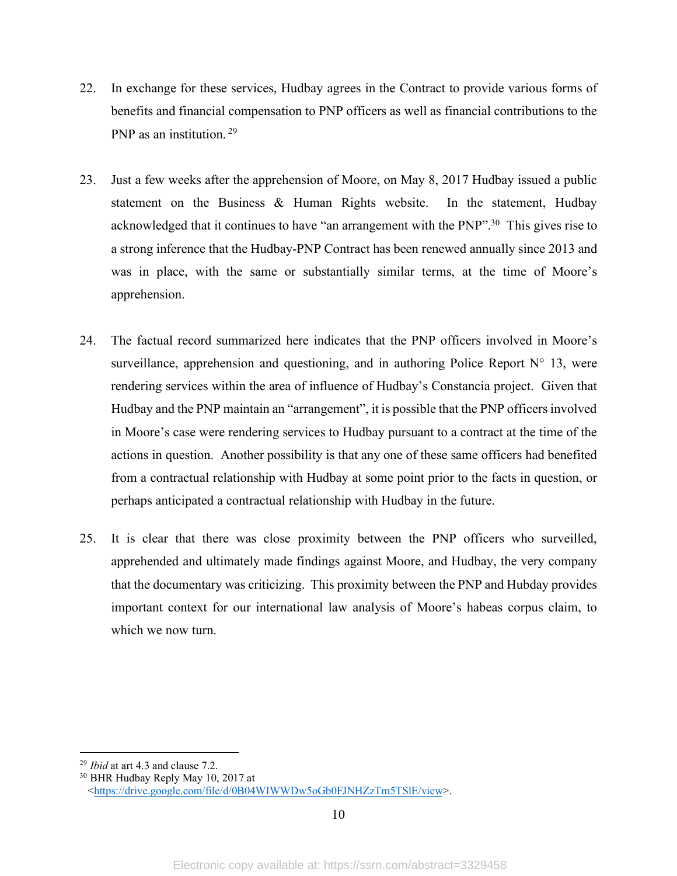- 22. In exchange for these services, Hudbay agrees in the Contract to provide various forms of benefits and financial compensation to PNP officers as well as financial contributions to the PNP as an institution. <sup>29</sup>
- 23. Just a few weeks after the apprehension of Moore, on May 8, 2017 Hudbay issued a public statement on the Business & Human Rights website. In the statement, Hudbay acknowledged that it continues to have "an arrangement with the PNP".<sup>30</sup> This gives rise to a strong inference that the Hudbay-PNP Contract has been renewed annually since 2013 and was in place, with the same or substantially similar terms, at the time of Moore's apprehension.
- 24. The factual record summarized here indicates that the PNP officers involved in Moore's surveillance, apprehension and questioning, and in authoring Police Report  $N^{\circ}$  13, were rendering services within the area of influence of Hudbay's Constancia project. Given that Hudbay and the PNP maintain an "arrangement", it is possible that the PNP officers involved in Moore's case were rendering services to Hudbay pursuant to a contract at the time of the actions in question. Another possibility is that any one of these same officers had benefited from a contractual relationship with Hudbay at some point prior to the facts in question, or perhaps anticipated a contractual relationship with Hudbay in the future.
- 25. It is clear that there was close proximity between the PNP officers who surveilled, apprehended and ultimately made findings against Moore, and Hudbay, the very company that the documentary was criticizing. This proximity between the PNP and Hubday provides important context for our international law analysis of Moore's habeas corpus claim, to which we now turn.

 <sup>29</sup> *Ibid* at art 4.3 and clause 7.2.

<sup>30</sup> BHR Hudbay Reply May 10, 2017 at <https://drive.google.com/file/d/0B04WIWWDw5oGb0FJNHZzTm5TSlE/view>.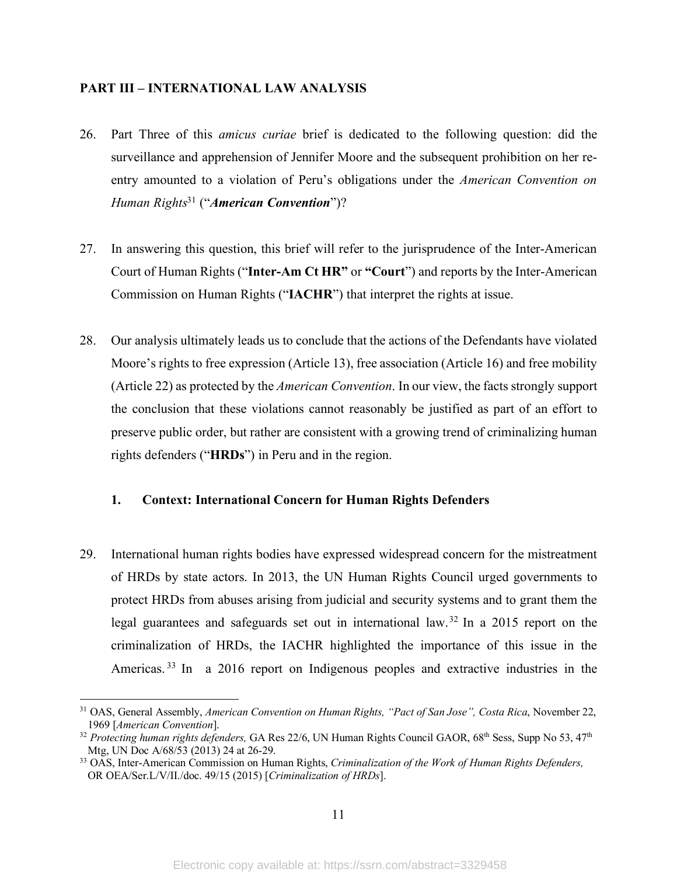# **PART III – INTERNATIONAL LAW ANALYSIS**

- 26. Part Three of this *amicus curiae* brief is dedicated to the following question: did the surveillance and apprehension of Jennifer Moore and the subsequent prohibition on her reentry amounted to a violation of Peru's obligations under the *American Convention on Human Rights*<sup>31</sup> ("*American Convention*")?
- 27. In answering this question, this brief will refer to the jurisprudence of the Inter-American Court of Human Rights ("**Inter-Am Ct HR"** or **"Court**") and reports by the Inter-American Commission on Human Rights ("**IACHR**") that interpret the rights at issue.
- 28. Our analysis ultimately leads us to conclude that the actions of the Defendants have violated Moore's rights to free expression (Article 13), free association (Article 16) and free mobility (Article 22) as protected by the *American Convention*. In our view, the facts strongly support the conclusion that these violations cannot reasonably be justified as part of an effort to preserve public order, but rather are consistent with a growing trend of criminalizing human rights defenders ("**HRDs**") in Peru and in the region.

# **1. Context: International Concern for Human Rights Defenders**

29. International human rights bodies have expressed widespread concern for the mistreatment of HRDs by state actors. In 2013, the UN Human Rights Council urged governments to protect HRDs from abuses arising from judicial and security systems and to grant them the legal guarantees and safeguards set out in international law.32 In a 2015 report on the criminalization of HRDs, the IACHR highlighted the importance of this issue in the Americas.<sup>33</sup> In a 2016 report on Indigenous peoples and extractive industries in the

 <sup>31</sup> OAS, General Assembly, *American Convention on Human Rights, "Pact of San Jose", Costa Rica*, November 22, 1969 [*American Convention*].

<sup>&</sup>lt;sup>32</sup> Protecting human rights defenders, GA Res 22/6, UN Human Rights Council GAOR, 68<sup>th</sup> Sess, Supp No 53, 47<sup>th</sup> Mtg, UN Doc A/68/53 (2013) 24 at 26-29.

<sup>33</sup> OAS, Inter-American Commission on Human Rights, *Criminalization of the Work of Human Rights Defenders,* OR OEA/Ser.L/V/II./doc. 49/15 (2015) [*Criminalization of HRDs*].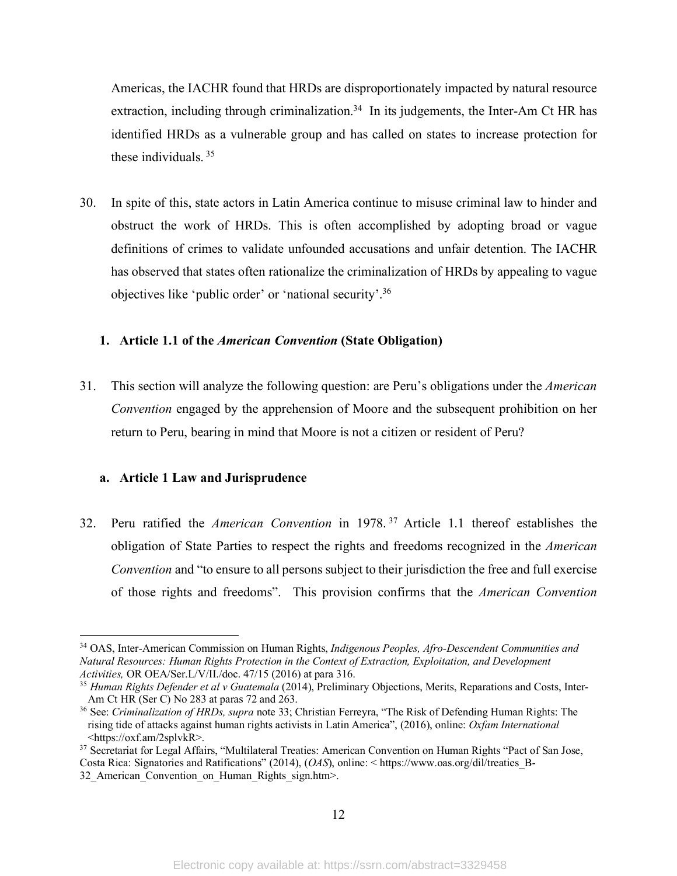Americas, the IACHR found that HRDs are disproportionately impacted by natural resource extraction, including through criminalization.<sup>34</sup> In its judgements, the Inter-Am Ct HR has identified HRDs as a vulnerable group and has called on states to increase protection for these individuals. <sup>35</sup>

30. In spite of this, state actors in Latin America continue to misuse criminal law to hinder and obstruct the work of HRDs. This is often accomplished by adopting broad or vague definitions of crimes to validate unfounded accusations and unfair detention. The IACHR has observed that states often rationalize the criminalization of HRDs by appealing to vague objectives like 'public order' or 'national security'.36

# **1. Article 1.1 of the** *American Convention* **(State Obligation)**

31. This section will analyze the following question: are Peru's obligations under the *American Convention* engaged by the apprehension of Moore and the subsequent prohibition on her return to Peru, bearing in mind that Moore is not a citizen or resident of Peru?

# **a. Article 1 Law and Jurisprudence**

32. Peru ratified the *American Convention* in 1978. <sup>37</sup> Article 1.1 thereof establishes the obligation of State Parties to respect the rights and freedoms recognized in the *American Convention* and "to ensure to all persons subject to their jurisdiction the free and full exercise of those rights and freedoms". This provision confirms that the *American Convention*

 <sup>34</sup> OAS, Inter-American Commission on Human Rights, *Indigenous Peoples, Afro-Descendent Communities and Natural Resources: Human Rights Protection in the Context of Extraction, Exploitation, and Development Activities,* OR OEA/Ser.L/V/II./doc. 47/15 (2016) at para 316.

<sup>35</sup> *Human Rights Defender et al v Guatemala* (2014), Preliminary Objections, Merits, Reparations and Costs, Inter-Am Ct HR (Ser C) No 283 at paras 72 and 263.

<sup>36</sup> See: *Criminalization of HRDs, supra* note 33; Christian Ferreyra, "The Risk of Defending Human Rights: The rising tide of attacks against human rights activists in Latin America", (2016), online: *Oxfam International* <https://oxf.am/2splvkR>.

<sup>&</sup>lt;sup>37</sup> Secretariat for Legal Affairs, "Multilateral Treaties: American Convention on Human Rights "Pact of San Jose, Costa Rica: Signatories and Ratifications" (2014), (*OAS*), online: < https://www.oas.org/dil/treaties\_B-

<sup>32</sup> American Convention on Human Rights sign.htm>.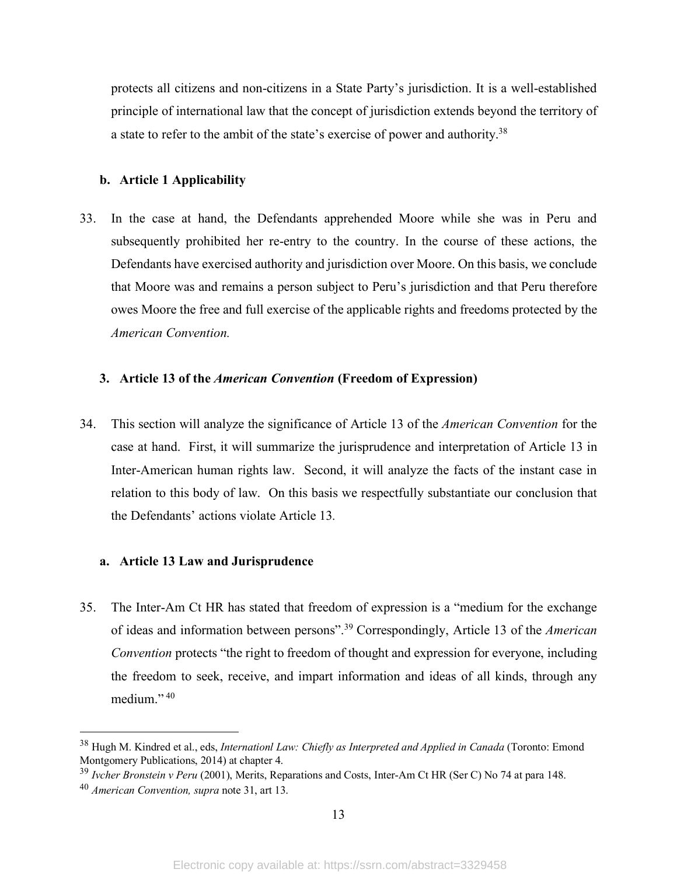protects all citizens and non-citizens in a State Party's jurisdiction. It is a well-established principle of international law that the concept of jurisdiction extends beyond the territory of a state to refer to the ambit of the state's exercise of power and authority.38

# **b. Article 1 Applicability**

33. In the case at hand, the Defendants apprehended Moore while she was in Peru and subsequently prohibited her re-entry to the country. In the course of these actions, the Defendants have exercised authority and jurisdiction over Moore. On this basis, we conclude that Moore was and remains a person subject to Peru's jurisdiction and that Peru therefore owes Moore the free and full exercise of the applicable rights and freedoms protected by the *American Convention.*

# **3. Article 13 of the** *American Convention* **(Freedom of Expression)**

34. This section will analyze the significance of Article 13 of the *American Convention* for the case at hand. First, it will summarize the jurisprudence and interpretation of Article 13 in Inter-American human rights law. Second, it will analyze the facts of the instant case in relation to this body of law. On this basis we respectfully substantiate our conclusion that the Defendants' actions violate Article 13*.*

# **a. Article 13 Law and Jurisprudence**

35. The Inter-Am Ct HR has stated that freedom of expression is a "medium for the exchange of ideas and information between persons".39 Correspondingly, Article 13 of the *American Convention* protects "the right to freedom of thought and expression for everyone, including the freedom to seek, receive, and impart information and ideas of all kinds, through any medium." <sup>40</sup>

 <sup>38</sup> Hugh M. Kindred et al., eds, *Internationl Law: Chiefly as Interpreted and Applied in Canada* (Toronto: Emond Montgomery Publications, 2014) at chapter 4.

<sup>39</sup> *Ivcher Bronstein v Peru* (2001), Merits, Reparations and Costs, Inter-Am Ct HR (Ser C) No 74 at para 148.

<sup>40</sup> *American Convention, supra* note 31, art 13.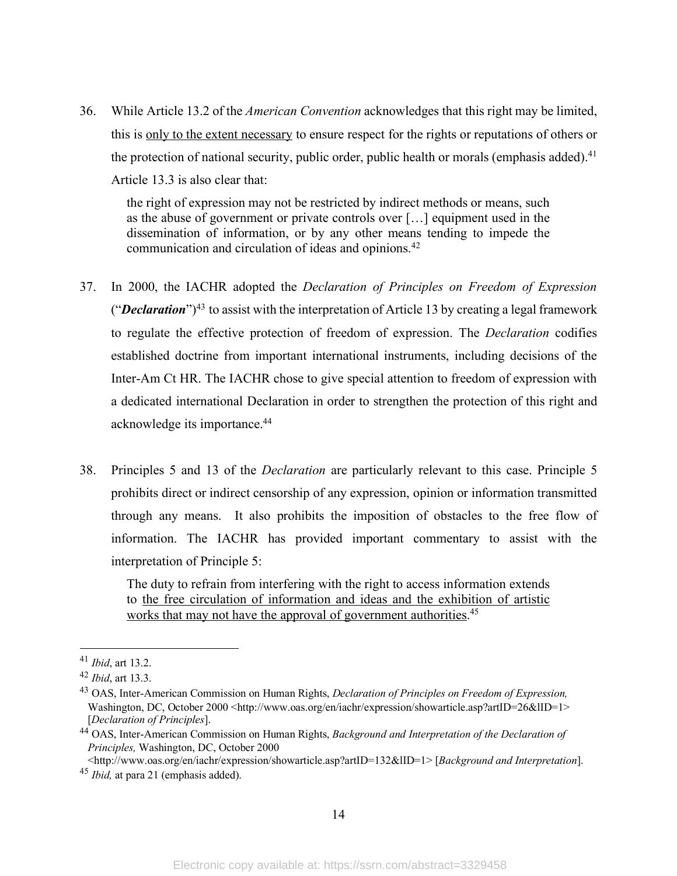36. While Article 13.2 of the *American Convention* acknowledges that this right may be limited, this is only to the extent necessary to ensure respect for the rights or reputations of others or the protection of national security, public order, public health or morals (emphasis added).<sup>41</sup> Article 13.3 is also clear that:

the right of expression may not be restricted by indirect methods or means, such as the abuse of government or private controls over […] equipment used in the dissemination of information, or by any other means tending to impede the communication and circulation of ideas and opinions.42

- 37. In 2000, the IACHR adopted the *Declaration of Principles on Freedom of Expression* ("*Declaration*")43 to assist with the interpretation of Article 13 by creating a legal framework to regulate the effective protection of freedom of expression. The *Declaration* codifies established doctrine from important international instruments, including decisions of the Inter-Am Ct HR. The IACHR chose to give special attention to freedom of expression with a dedicated international Declaration in order to strengthen the protection of this right and acknowledge its importance.44
- 38. Principles 5 and 13 of the *Declaration* are particularly relevant to this case. Principle 5 prohibits direct or indirect censorship of any expression, opinion or information transmitted through any means. It also prohibits the imposition of obstacles to the free flow of information. The IACHR has provided important commentary to assist with the interpretation of Principle 5:

The duty to refrain from interfering with the right to access information extends to the free circulation of information and ideas and the exhibition of artistic works that may not have the approval of government authorities.<sup>45</sup>

<http://www.oas.org/en/iachr/expression/showarticle.asp?artID=132&lID=1> [*Background and Interpretation*]. <sup>45</sup> *Ibid,* at para 21 (emphasis added).

 <sup>41</sup> *Ibid*, art 13.2.

<sup>42</sup> *Ibid*, art 13.3.

<sup>43</sup> OAS, Inter-American Commission on Human Rights, *Declaration of Principles on Freedom of Expression,* Washington, DC, October 2000 <http://www.oas.org/en/iachr/expression/showarticle.asp?artID=26&lID=1> [*Declaration of Principles*].

<sup>44</sup> OAS, Inter-American Commission on Human Rights, *Background and Interpretation of the Declaration of Principles,* Washington, DC, October 2000

<sup>14</sup>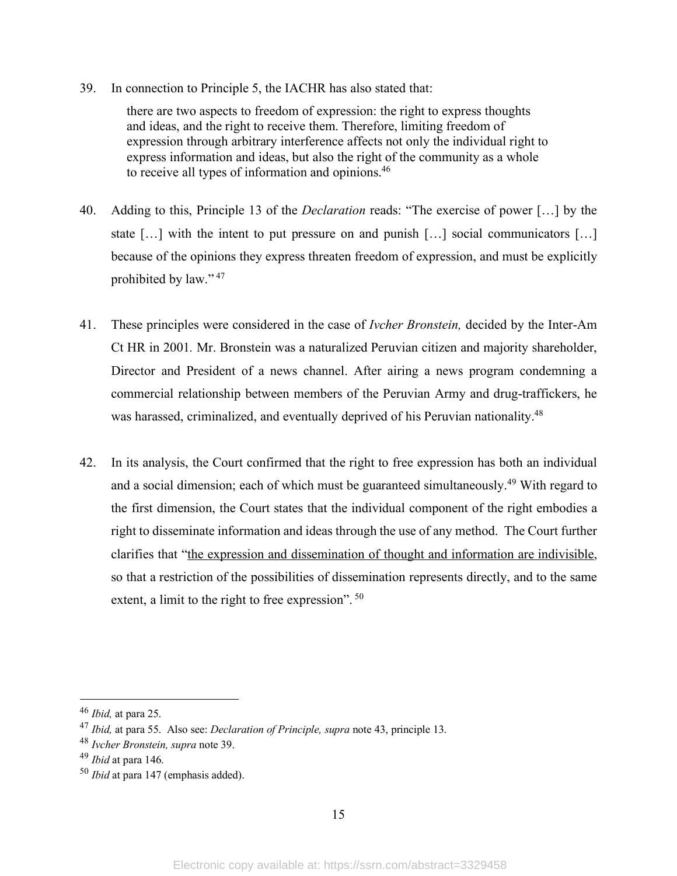39. In connection to Principle 5, the IACHR has also stated that:

there are two aspects to freedom of expression: the right to express thoughts and ideas, and the right to receive them. Therefore, limiting freedom of expression through arbitrary interference affects not only the individual right to express information and ideas, but also the right of the community as a whole to receive all types of information and opinions.46

- 40. Adding to this, Principle 13 of the *Declaration* reads: "The exercise of power […] by the state […] with the intent to put pressure on and punish […] social communicators […] because of the opinions they express threaten freedom of expression, and must be explicitly prohibited by law." <sup>47</sup>
- 41. These principles were considered in the case of *Ivcher Bronstein,* decided by the Inter-Am Ct HR in 2001*.* Mr. Bronstein was a naturalized Peruvian citizen and majority shareholder, Director and President of a news channel. After airing a news program condemning a commercial relationship between members of the Peruvian Army and drug-traffickers, he was harassed, criminalized, and eventually deprived of his Peruvian nationality.<sup>48</sup>
- 42. In its analysis, the Court confirmed that the right to free expression has both an individual and a social dimension; each of which must be guaranteed simultaneously.49 With regard to the first dimension, the Court states that the individual component of the right embodies a right to disseminate information and ideas through the use of any method. The Court further clarifies that "the expression and dissemination of thought and information are indivisible, so that a restriction of the possibilities of dissemination represents directly, and to the same extent, a limit to the right to free expression". <sup>50</sup>

 <sup>46</sup> *Ibid,* at para 25.

<sup>47</sup> *Ibid,* at para 55. Also see: *Declaration of Principle, supra* note 43, principle 13.

<sup>48</sup> *Ivcher Bronstein, supra* note 39.

<sup>49</sup> *Ibid* at para 146.

<sup>50</sup> *Ibid* at para 147 (emphasis added).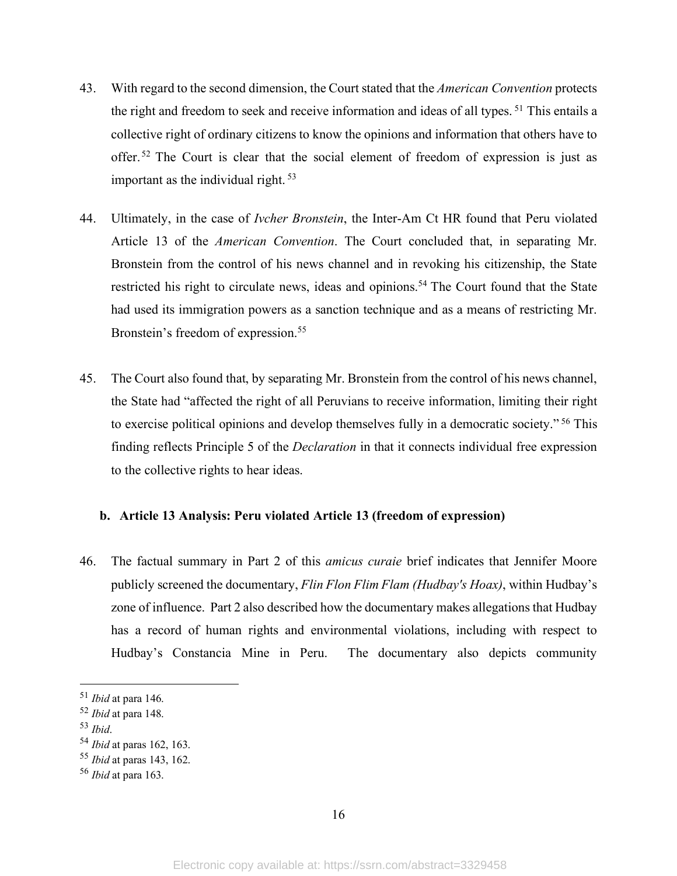- 43. With regard to the second dimension, the Court stated that the *American Convention* protects the right and freedom to seek and receive information and ideas of all types. <sup>51</sup> This entails a collective right of ordinary citizens to know the opinions and information that others have to offer. <sup>52</sup> The Court is clear that the social element of freedom of expression is just as important as the individual right. 53
- 44. Ultimately, in the case of *Ivcher Bronstein*, the Inter-Am Ct HR found that Peru violated Article 13 of the *American Convention*. The Court concluded that, in separating Mr. Bronstein from the control of his news channel and in revoking his citizenship, the State restricted his right to circulate news, ideas and opinions.<sup>54</sup> The Court found that the State had used its immigration powers as a sanction technique and as a means of restricting Mr. Bronstein's freedom of expression.<sup>55</sup>
- 45. The Court also found that, by separating Mr. Bronstein from the control of his news channel, the State had "affected the right of all Peruvians to receive information, limiting their right to exercise political opinions and develop themselves fully in a democratic society." <sup>56</sup> This finding reflects Principle 5 of the *Declaration* in that it connects individual free expression to the collective rights to hear ideas.

# **b. Article 13 Analysis: Peru violated Article 13 (freedom of expression)**

46. The factual summary in Part 2 of this *amicus curaie* brief indicates that Jennifer Moore publicly screened the documentary, *Flin Flon Flim Flam (Hudbay's Hoax)*, within Hudbay's zone of influence. Part 2 also described how the documentary makes allegations that Hudbay has a record of human rights and environmental violations, including with respect to Hudbay's Constancia Mine in Peru. The documentary also depicts community

<sup>53</sup> *Ibid*.

 <sup>51</sup> *Ibid* at para 146.

<sup>52</sup> *Ibid* at para 148.

<sup>54</sup> *Ibid* at paras 162, 163.

<sup>55</sup> *Ibid* at paras 143, 162.

<sup>56</sup> *Ibid* at para 163.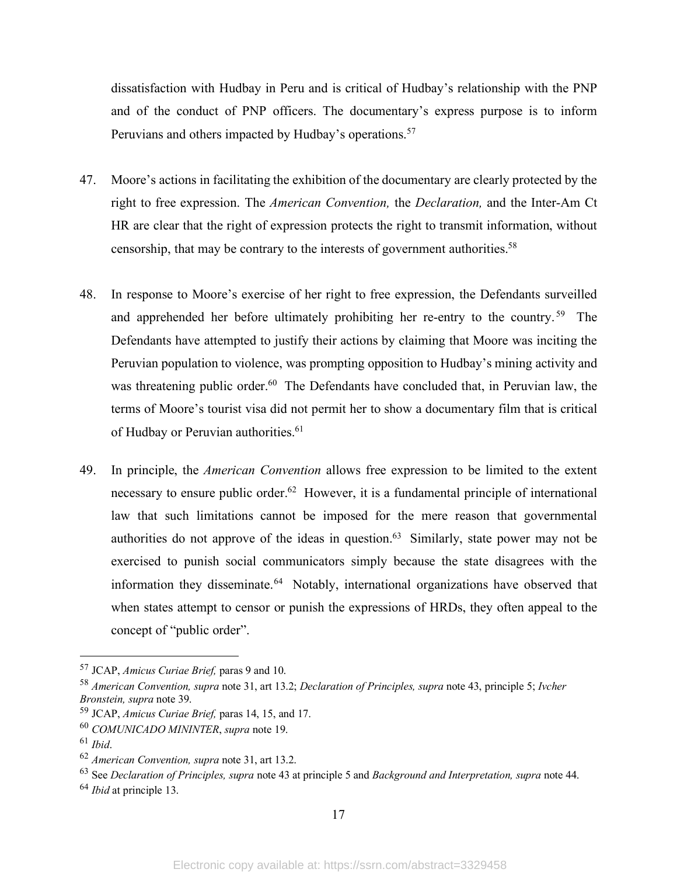dissatisfaction with Hudbay in Peru and is critical of Hudbay's relationship with the PNP and of the conduct of PNP officers. The documentary's express purpose is to inform Peruvians and others impacted by Hudbay's operations.<sup>57</sup>

- 47. Moore's actions in facilitating the exhibition of the documentary are clearly protected by the right to free expression. The *American Convention,* the *Declaration,* and the Inter-Am Ct HR are clear that the right of expression protects the right to transmit information, without censorship, that may be contrary to the interests of government authorities.<sup>58</sup>
- 48. In response to Moore's exercise of her right to free expression, the Defendants surveilled and apprehended her before ultimately prohibiting her re-entry to the country. 59 The Defendants have attempted to justify their actions by claiming that Moore was inciting the Peruvian population to violence, was prompting opposition to Hudbay's mining activity and was threatening public order.<sup>60</sup> The Defendants have concluded that, in Peruvian law, the terms of Moore's tourist visa did not permit her to show a documentary film that is critical of Hudbay or Peruvian authorities.<sup>61</sup>
- 49. In principle, the *American Convention* allows free expression to be limited to the extent necessary to ensure public order.<sup>62</sup> However, it is a fundamental principle of international law that such limitations cannot be imposed for the mere reason that governmental authorities do not approve of the ideas in question.<sup>63</sup> Similarly, state power may not be exercised to punish social communicators simply because the state disagrees with the information they disseminate.64 Notably, international organizations have observed that when states attempt to censor or punish the expressions of HRDs, they often appeal to the concept of "public order".

 <sup>57</sup> JCAP, *Amicus Curiae Brief,* paras <sup>9</sup> and 10.

<sup>58</sup> *American Convention, supra* note 31, art 13.2; *Declaration of Principles, supra* note 43, principle 5; *Ivcher Bronstein, supra* note 39.

<sup>59</sup> JCAP, *Amicus Curiae Brief,* paras 14, 15, and 17.

<sup>60</sup> *COMUNICADO MININTER*, *supra* note 19.

<sup>61</sup> *Ibid*.

<sup>62</sup> *American Convention, supra* note 31, art 13.2.

<sup>63</sup> See *Declaration of Principles, supra* note 43 at principle 5 and *Background and Interpretation, supra* note 44.

<sup>64</sup> *Ibid* at principle 13.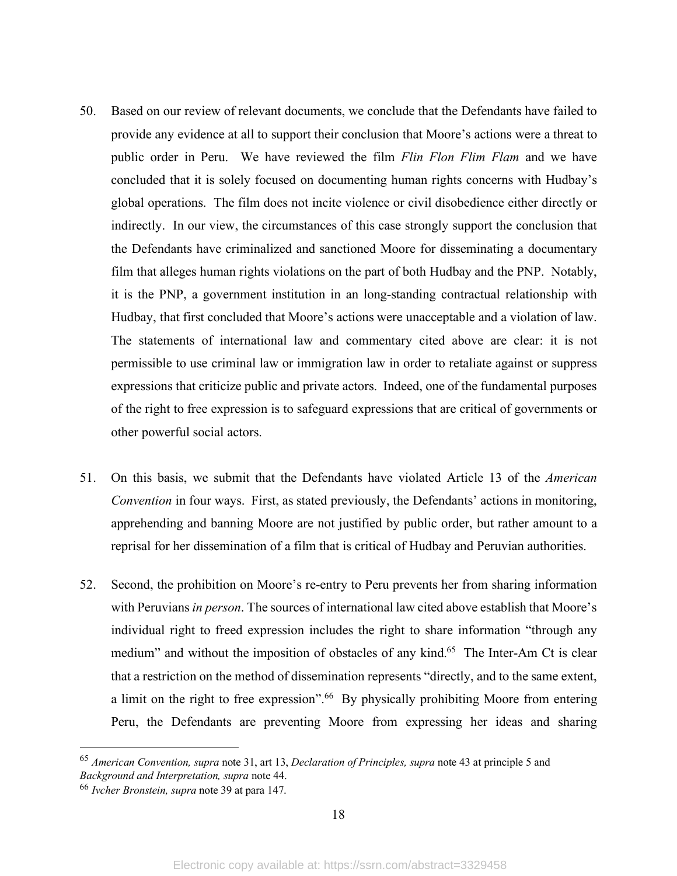- 50. Based on our review of relevant documents, we conclude that the Defendants have failed to provide any evidence at all to support their conclusion that Moore's actions were a threat to public order in Peru. We have reviewed the film *Flin Flon Flim Flam* and we have concluded that it is solely focused on documenting human rights concerns with Hudbay's global operations. The film does not incite violence or civil disobedience either directly or indirectly. In our view, the circumstances of this case strongly support the conclusion that the Defendants have criminalized and sanctioned Moore for disseminating a documentary film that alleges human rights violations on the part of both Hudbay and the PNP. Notably, it is the PNP, a government institution in an long-standing contractual relationship with Hudbay, that first concluded that Moore's actions were unacceptable and a violation of law. The statements of international law and commentary cited above are clear: it is not permissible to use criminal law or immigration law in order to retaliate against or suppress expressions that criticize public and private actors. Indeed, one of the fundamental purposes of the right to free expression is to safeguard expressions that are critical of governments or other powerful social actors.
- 51. On this basis, we submit that the Defendants have violated Article 13 of the *American Convention* in four ways. First, as stated previously, the Defendants' actions in monitoring, apprehending and banning Moore are not justified by public order, but rather amount to a reprisal for her dissemination of a film that is critical of Hudbay and Peruvian authorities.
- 52. Second, the prohibition on Moore's re-entry to Peru prevents her from sharing information with Peruvians*in person*. The sources of international law cited above establish that Moore's individual right to freed expression includes the right to share information "through any medium" and without the imposition of obstacles of any kind.<sup>65</sup> The Inter-Am Ct is clear that a restriction on the method of dissemination represents "directly, and to the same extent, a limit on the right to free expression".<sup>66</sup> By physically prohibiting Moore from entering Peru, the Defendants are preventing Moore from expressing her ideas and sharing

 <sup>65</sup> *American Convention, supra* note 31, art 13, *Declaration of Principles, supra* note <sup>43</sup> at principle <sup>5</sup> and *Background and Interpretation, supra* note 44.

<sup>66</sup> *Ivcher Bronstein, supra* note 39 at para 147.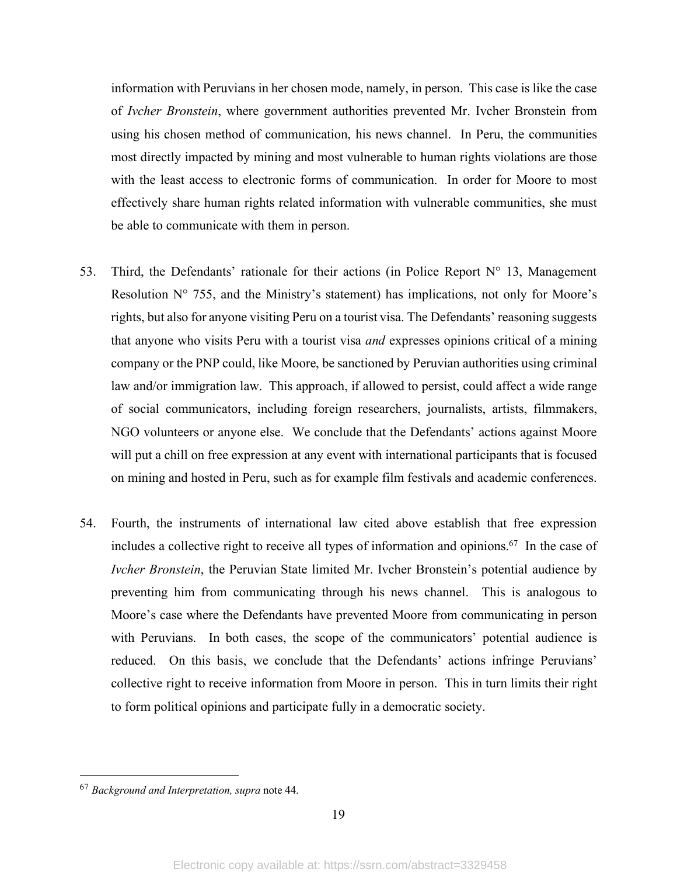information with Peruvians in her chosen mode, namely, in person. This case is like the case of *Ivcher Bronstein*, where government authorities prevented Mr. Ivcher Bronstein from using his chosen method of communication, his news channel. In Peru, the communities most directly impacted by mining and most vulnerable to human rights violations are those with the least access to electronic forms of communication. In order for Moore to most effectively share human rights related information with vulnerable communities, she must be able to communicate with them in person.

- 53. Third, the Defendants' rationale for their actions (in Police Report  $N^{\circ}$  13, Management Resolution  $N^{\circ}$  755, and the Ministry's statement) has implications, not only for Moore's rights, but also for anyone visiting Peru on a tourist visa. The Defendants' reasoning suggests that anyone who visits Peru with a tourist visa *and* expresses opinions critical of a mining company or the PNP could, like Moore, be sanctioned by Peruvian authorities using criminal law and/or immigration law. This approach, if allowed to persist, could affect a wide range of social communicators, including foreign researchers, journalists, artists, filmmakers, NGO volunteers or anyone else. We conclude that the Defendants' actions against Moore will put a chill on free expression at any event with international participants that is focused on mining and hosted in Peru, such as for example film festivals and academic conferences.
- 54. Fourth, the instruments of international law cited above establish that free expression includes a collective right to receive all types of information and opinions.<sup>67</sup> In the case of *Ivcher Bronstein*, the Peruvian State limited Mr. Ivcher Bronstein's potential audience by preventing him from communicating through his news channel. This is analogous to Moore's case where the Defendants have prevented Moore from communicating in person with Peruvians. In both cases, the scope of the communicators' potential audience is reduced. On this basis, we conclude that the Defendants' actions infringe Peruvians' collective right to receive information from Moore in person. This in turn limits their right to form political opinions and participate fully in a democratic society.

 <sup>67</sup> *Background and Interpretation, supra* note 44.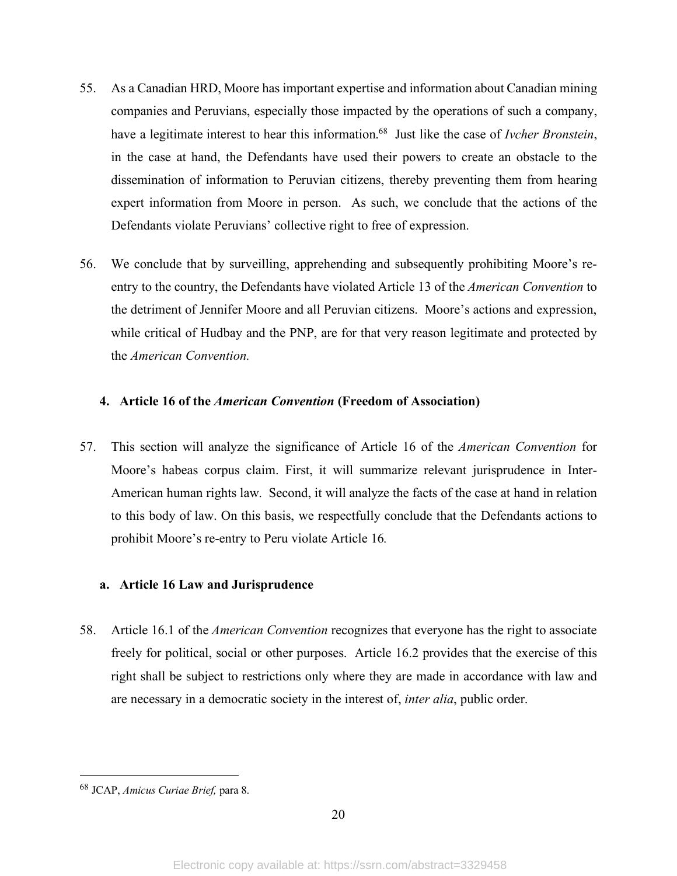- 55. As a Canadian HRD, Moore has important expertise and information about Canadian mining companies and Peruvians, especially those impacted by the operations of such a company, have a legitimate interest to hear this information.68 Just like the case of *Ivcher Bronstein*, in the case at hand, the Defendants have used their powers to create an obstacle to the dissemination of information to Peruvian citizens, thereby preventing them from hearing expert information from Moore in person. As such, we conclude that the actions of the Defendants violate Peruvians' collective right to free of expression.
- 56. We conclude that by surveilling, apprehending and subsequently prohibiting Moore's reentry to the country, the Defendants have violated Article 13 of the *American Convention* to the detriment of Jennifer Moore and all Peruvian citizens. Moore's actions and expression, while critical of Hudbay and the PNP, are for that very reason legitimate and protected by the *American Convention.*

# **4. Article 16 of the** *American Convention* **(Freedom of Association)**

57. This section will analyze the significance of Article 16 of the *American Convention* for Moore's habeas corpus claim. First, it will summarize relevant jurisprudence in Inter-American human rights law. Second, it will analyze the facts of the case at hand in relation to this body of law. On this basis, we respectfully conclude that the Defendants actions to prohibit Moore's re-entry to Peru violate Article 16*.*

# **a. Article 16 Law and Jurisprudence**

58. Article 16.1 of the *American Convention* recognizes that everyone has the right to associate freely for political, social or other purposes. Article 16.2 provides that the exercise of this right shall be subject to restrictions only where they are made in accordance with law and are necessary in a democratic society in the interest of, *inter alia*, public order.

 <sup>68</sup> JCAP, *Amicus Curiae Brief,* para 8.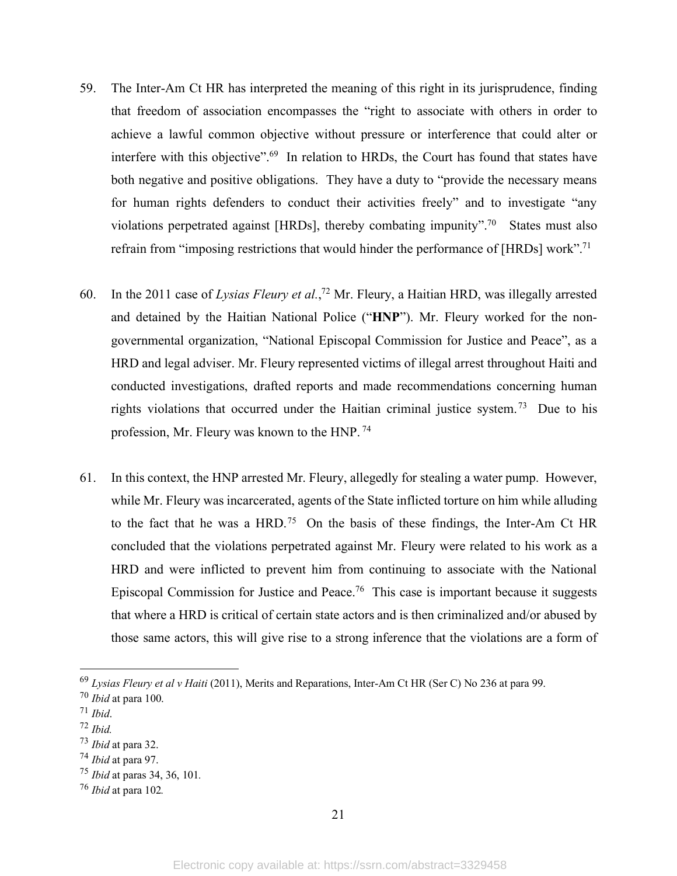- 59. The Inter-Am Ct HR has interpreted the meaning of this right in its jurisprudence, finding that freedom of association encompasses the "right to associate with others in order to achieve a lawful common objective without pressure or interference that could alter or interfere with this objective".69 In relation to HRDs, the Court has found that states have both negative and positive obligations. They have a duty to "provide the necessary means for human rights defenders to conduct their activities freely" and to investigate "any violations perpetrated against [HRDs], thereby combating impunity".<sup>70</sup> States must also refrain from "imposing restrictions that would hinder the performance of [HRDs] work".<sup>71</sup>
- 60. In the 2011 case of *Lysias Fleury et al.*, <sup>72</sup> Mr. Fleury, a Haitian HRD, was illegally arrested and detained by the Haitian National Police ("**HNP**"). Mr. Fleury worked for the nongovernmental organization, "National Episcopal Commission for Justice and Peace", as a HRD and legal adviser. Mr. Fleury represented victims of illegal arrest throughout Haiti and conducted investigations, drafted reports and made recommendations concerning human rights violations that occurred under the Haitian criminal justice system. 73 Due to his profession, Mr. Fleury was known to the HNP. <sup>74</sup>
- 61. In this context, the HNP arrested Mr. Fleury, allegedly for stealing a water pump. However, while Mr. Fleury was incarcerated, agents of the State inflicted torture on him while alluding to the fact that he was a  $HRD<sup>75</sup>$  On the basis of these findings, the Inter-Am Ct HR concluded that the violations perpetrated against Mr. Fleury were related to his work as a HRD and were inflicted to prevent him from continuing to associate with the National Episcopal Commission for Justice and Peace.76 This case is important because it suggests that where a HRD is critical of certain state actors and is then criminalized and/or abused by those same actors, this will give rise to a strong inference that the violations are a form of

 <sup>69</sup> *Lysias Fleury et al <sup>v</sup> Haiti* (2011), Merits and Reparations, Inter-Am Ct HR (Ser C) No <sup>236</sup> at para 99.

<sup>70</sup> *Ibid* at para 100.

<sup>71</sup> *Ibid*.

<sup>72</sup> *Ibid.*

<sup>73</sup> *Ibid* at para 32.

<sup>74</sup> *Ibid* at para 97.

<sup>75</sup> *Ibid* at paras 34, 36, 101*.*

<sup>76</sup> *Ibid* at para 102*.*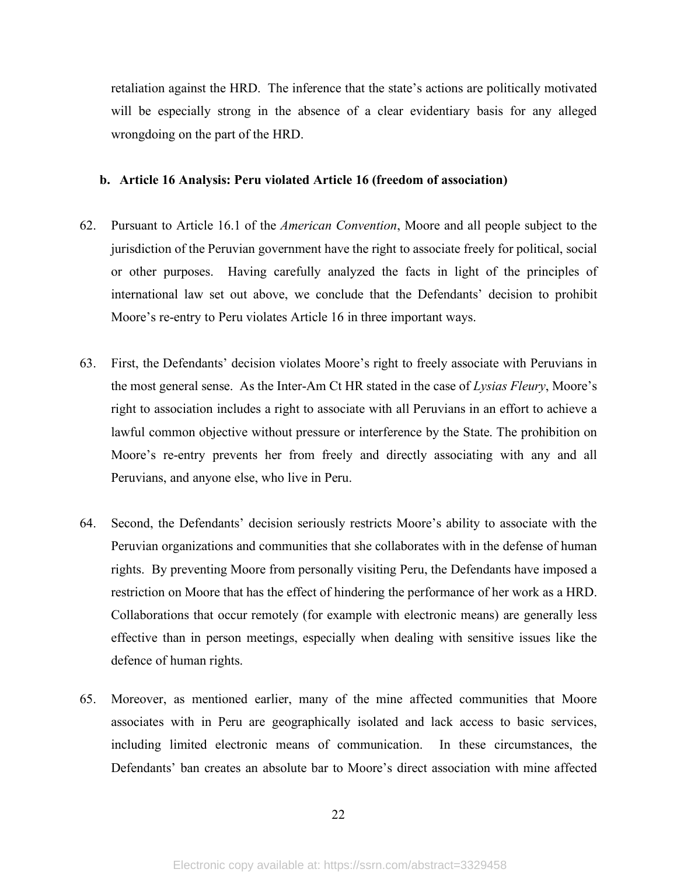retaliation against the HRD. The inference that the state's actions are politically motivated will be especially strong in the absence of a clear evidentiary basis for any alleged wrongdoing on the part of the HRD.

# **b. Article 16 Analysis: Peru violated Article 16 (freedom of association)**

- 62. Pursuant to Article 16.1 of the *American Convention*, Moore and all people subject to the jurisdiction of the Peruvian government have the right to associate freely for political, social or other purposes. Having carefully analyzed the facts in light of the principles of international law set out above, we conclude that the Defendants' decision to prohibit Moore's re-entry to Peru violates Article 16 in three important ways.
- 63. First, the Defendants' decision violates Moore's right to freely associate with Peruvians in the most general sense. As the Inter-Am Ct HR stated in the case of *Lysias Fleury*, Moore's right to association includes a right to associate with all Peruvians in an effort to achieve a lawful common objective without pressure or interference by the State. The prohibition on Moore's re-entry prevents her from freely and directly associating with any and all Peruvians, and anyone else, who live in Peru.
- 64. Second, the Defendants' decision seriously restricts Moore's ability to associate with the Peruvian organizations and communities that she collaborates with in the defense of human rights. By preventing Moore from personally visiting Peru, the Defendants have imposed a restriction on Moore that has the effect of hindering the performance of her work as a HRD. Collaborations that occur remotely (for example with electronic means) are generally less effective than in person meetings, especially when dealing with sensitive issues like the defence of human rights.
- 65. Moreover, as mentioned earlier, many of the mine affected communities that Moore associates with in Peru are geographically isolated and lack access to basic services, including limited electronic means of communication. In these circumstances, the Defendants' ban creates an absolute bar to Moore's direct association with mine affected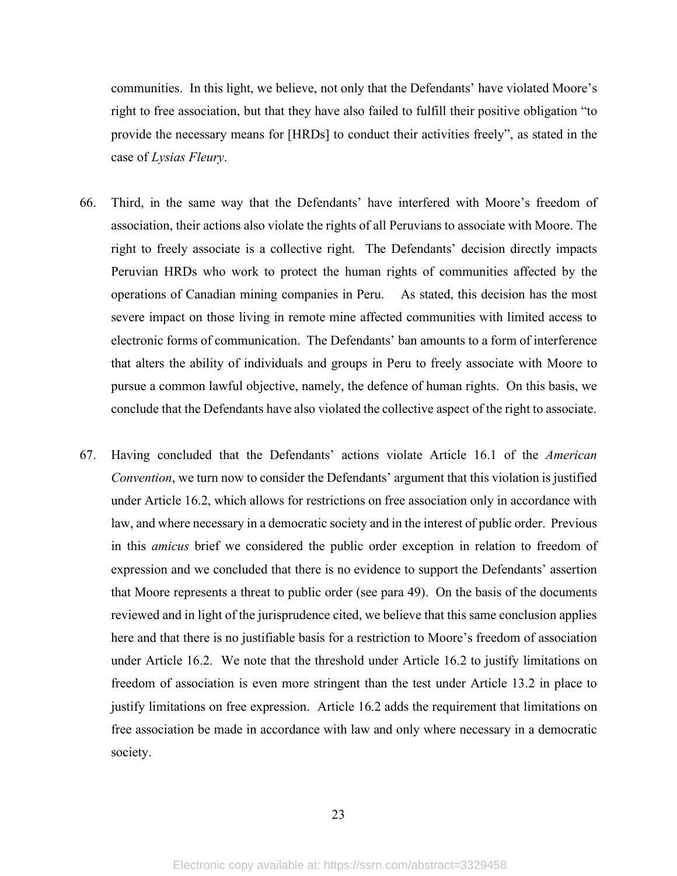communities. In this light, we believe, not only that the Defendants' have violated Moore's right to free association, but that they have also failed to fulfill their positive obligation "to provide the necessary means for [HRDs] to conduct their activities freely", as stated in the case of *Lysias Fleury*.

- 66. Third, in the same way that the Defendants' have interfered with Moore's freedom of association, their actions also violate the rights of all Peruvians to associate with Moore. The right to freely associate is a collective right. The Defendants' decision directly impacts Peruvian HRDs who work to protect the human rights of communities affected by the operations of Canadian mining companies in Peru. As stated, this decision has the most severe impact on those living in remote mine affected communities with limited access to electronic forms of communication. The Defendants' ban amounts to a form of interference that alters the ability of individuals and groups in Peru to freely associate with Moore to pursue a common lawful objective, namely, the defence of human rights. On this basis, we conclude that the Defendants have also violated the collective aspect of the right to associate.
- 67. Having concluded that the Defendants' actions violate Article 16.1 of the *American Convention*, we turn now to consider the Defendants' argument that this violation is justified under Article 16.2, which allows for restrictions on free association only in accordance with law, and where necessary in a democratic society and in the interest of public order. Previous in this *amicus* brief we considered the public order exception in relation to freedom of expression and we concluded that there is no evidence to support the Defendants' assertion that Moore represents a threat to public order (see para 49). On the basis of the documents reviewed and in light of the jurisprudence cited, we believe that this same conclusion applies here and that there is no justifiable basis for a restriction to Moore's freedom of association under Article 16.2. We note that the threshold under Article 16.2 to justify limitations on freedom of association is even more stringent than the test under Article 13.2 in place to justify limitations on free expression. Article 16.2 adds the requirement that limitations on free association be made in accordance with law and only where necessary in a democratic society.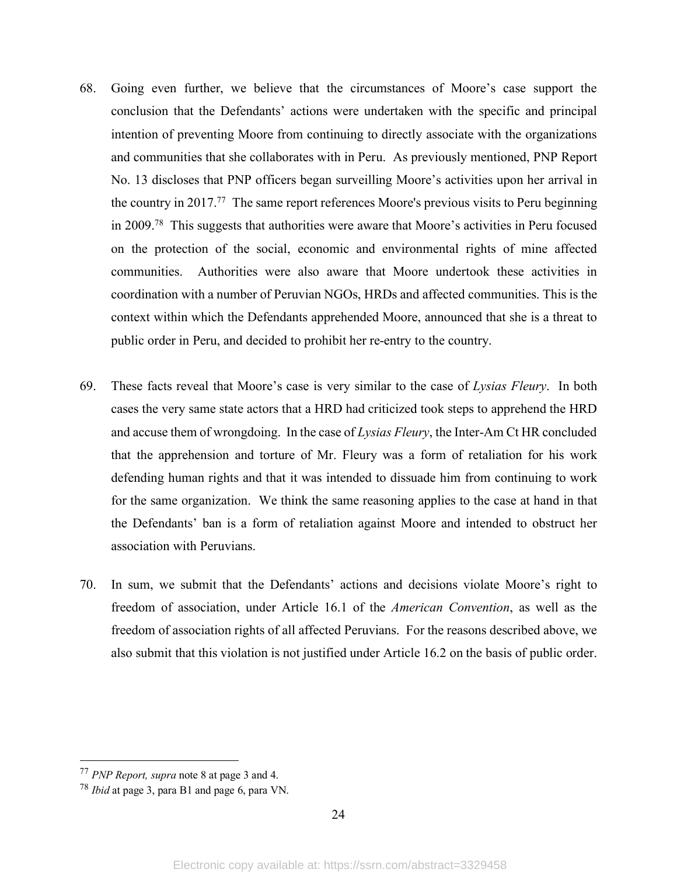- 68. Going even further, we believe that the circumstances of Moore's case support the conclusion that the Defendants' actions were undertaken with the specific and principal intention of preventing Moore from continuing to directly associate with the organizations and communities that she collaborates with in Peru. As previously mentioned, PNP Report No. 13 discloses that PNP officers began surveilling Moore's activities upon her arrival in the country in 2017.77 The same report references Moore's previous visits to Peru beginning in 2009.78 This suggests that authorities were aware that Moore's activities in Peru focused on the protection of the social, economic and environmental rights of mine affected communities. Authorities were also aware that Moore undertook these activities in coordination with a number of Peruvian NGOs, HRDs and affected communities. This is the context within which the Defendants apprehended Moore, announced that she is a threat to public order in Peru, and decided to prohibit her re-entry to the country.
- 69. These facts reveal that Moore's case is very similar to the case of *Lysias Fleury*. In both cases the very same state actors that a HRD had criticized took steps to apprehend the HRD and accuse them of wrongdoing. In the case of *Lysias Fleury*, the Inter-Am Ct HR concluded that the apprehension and torture of Mr. Fleury was a form of retaliation for his work defending human rights and that it was intended to dissuade him from continuing to work for the same organization. We think the same reasoning applies to the case at hand in that the Defendants' ban is a form of retaliation against Moore and intended to obstruct her association with Peruvians.
- 70. In sum, we submit that the Defendants' actions and decisions violate Moore's right to freedom of association, under Article 16.1 of the *American Convention*, as well as the freedom of association rights of all affected Peruvians. For the reasons described above, we also submit that this violation is not justified under Article 16.2 on the basis of public order.

 <sup>77</sup> *PNP Report, supra* note <sup>8</sup> at page <sup>3</sup> and 4.

<sup>78</sup> *Ibid* at page 3, para B1 and page 6, para VN.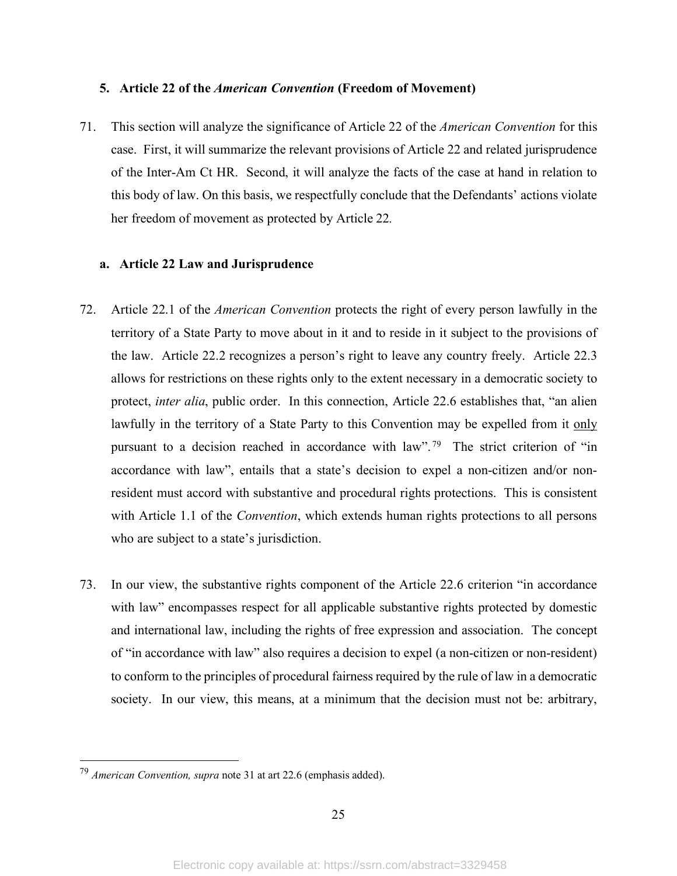### **5. Article 22 of the** *American Convention* **(Freedom of Movement)**

71. This section will analyze the significance of Article 22 of the *American Convention* for this case. First, it will summarize the relevant provisions of Article 22 and related jurisprudence of the Inter-Am Ct HR. Second, it will analyze the facts of the case at hand in relation to this body of law. On this basis, we respectfully conclude that the Defendants' actions violate her freedom of movement as protected by Article 22*.*

# **a. Article 22 Law and Jurisprudence**

- 72. Article 22.1 of the *American Convention* protects the right of every person lawfully in the territory of a State Party to move about in it and to reside in it subject to the provisions of the law. Article 22.2 recognizes a person's right to leave any country freely. Article 22.3 allows for restrictions on these rights only to the extent necessary in a democratic society to protect, *inter alia*, public order. In this connection, Article 22.6 establishes that, "an alien lawfully in the territory of a State Party to this Convention may be expelled from it only pursuant to a decision reached in accordance with law". 79 The strict criterion of "in accordance with law", entails that a state's decision to expel a non-citizen and/or nonresident must accord with substantive and procedural rights protections. This is consistent with Article 1.1 of the *Convention*, which extends human rights protections to all persons who are subject to a state's jurisdiction.
- 73. In our view, the substantive rights component of the Article 22.6 criterion "in accordance with law" encompasses respect for all applicable substantive rights protected by domestic and international law, including the rights of free expression and association. The concept of "in accordance with law" also requires a decision to expel (a non-citizen or non-resident) to conform to the principles of procedural fairness required by the rule of law in a democratic society. In our view, this means, at a minimum that the decision must not be: arbitrary,

 <sup>79</sup> *American Convention, supra* note <sup>31</sup> at art 22.6 (emphasis added).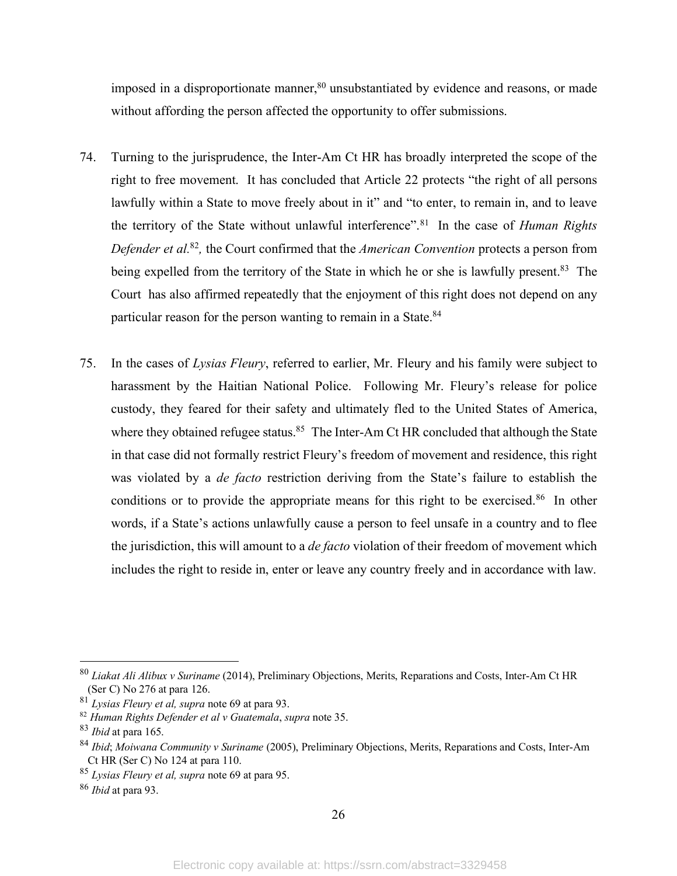imposed in a disproportionate manner,<sup>80</sup> unsubstantiated by evidence and reasons, or made without affording the person affected the opportunity to offer submissions.

- 74. Turning to the jurisprudence, the Inter-Am Ct HR has broadly interpreted the scope of the right to free movement. It has concluded that Article 22 protects "the right of all persons lawfully within a State to move freely about in it" and "to enter, to remain in, and to leave the territory of the State without unlawful interference".81 In the case of *Human Rights Defender et al.*<sup>82</sup>*,* the Court confirmed that the *American Convention* protects a person from being expelled from the territory of the State in which he or she is lawfully present.<sup>83</sup> The Court has also affirmed repeatedly that the enjoyment of this right does not depend on any particular reason for the person wanting to remain in a State.<sup>84</sup>
- 75. In the cases of *Lysias Fleury*, referred to earlier, Mr. Fleury and his family were subject to harassment by the Haitian National Police. Following Mr. Fleury's release for police custody, they feared for their safety and ultimately fled to the United States of America, where they obtained refugee status.<sup>85</sup> The Inter-Am Ct HR concluded that although the State in that case did not formally restrict Fleury's freedom of movement and residence, this right was violated by a *de facto* restriction deriving from the State's failure to establish the conditions or to provide the appropriate means for this right to be exercised.<sup>86</sup> In other words, if a State's actions unlawfully cause a person to feel unsafe in a country and to flee the jurisdiction, this will amount to a *de facto* violation of their freedom of movement which includes the right to reside in, enter or leave any country freely and in accordance with law.

 <sup>80</sup> *Liakat Ali Alibux <sup>v</sup> Suriname* (2014), Preliminary Objections, Merits, Reparations and Costs, Inter-Am Ct HR (Ser C) No 276 at para 126.

<sup>81</sup> *Lysias Fleury et al, supra* note 69 at para 93.

<sup>82</sup> *Human Rights Defender et al v Guatemala*, *supra* note 35.

<sup>83</sup> *Ibid* at para 165.

<sup>84</sup> *Ibid*; *Moiwana Community v Suriname* (2005), Preliminary Objections, Merits, Reparations and Costs, Inter-Am Ct HR (Ser C) No 124 at para 110.

<sup>85</sup> *Lysias Fleury et al, supra* note 69 at para 95.

<sup>86</sup> *Ibid* at para 93.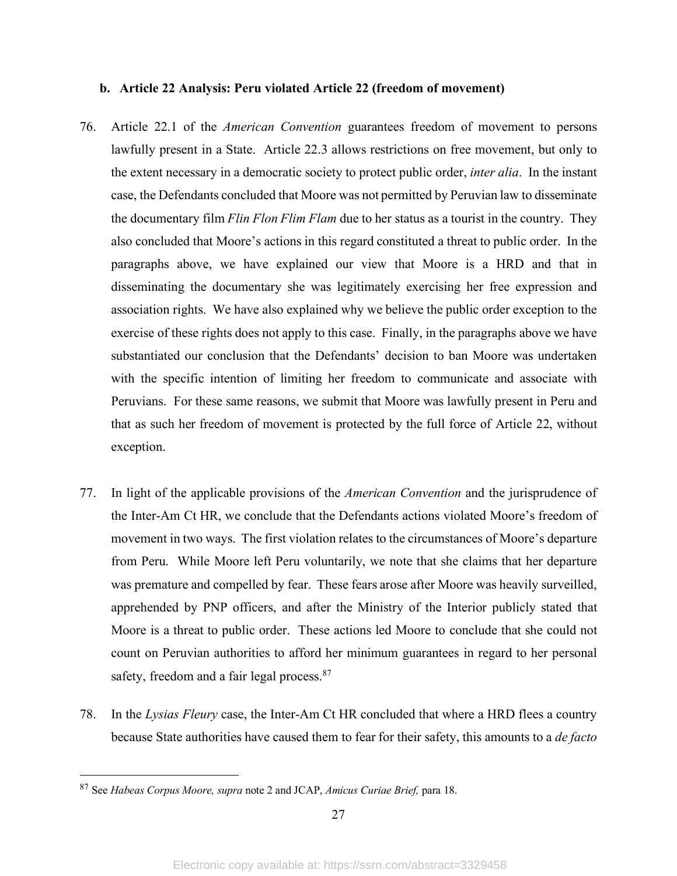### **b. Article 22 Analysis: Peru violated Article 22 (freedom of movement)**

- 76. Article 22.1 of the *American Convention* guarantees freedom of movement to persons lawfully present in a State. Article 22.3 allows restrictions on free movement, but only to the extent necessary in a democratic society to protect public order, *inter alia*. In the instant case, the Defendants concluded that Moore was not permitted by Peruvian law to disseminate the documentary film *Flin Flon Flim Flam* due to her status as a tourist in the country. They also concluded that Moore's actions in this regard constituted a threat to public order. In the paragraphs above, we have explained our view that Moore is a HRD and that in disseminating the documentary she was legitimately exercising her free expression and association rights. We have also explained why we believe the public order exception to the exercise of these rights does not apply to this case. Finally, in the paragraphs above we have substantiated our conclusion that the Defendants' decision to ban Moore was undertaken with the specific intention of limiting her freedom to communicate and associate with Peruvians. For these same reasons, we submit that Moore was lawfully present in Peru and that as such her freedom of movement is protected by the full force of Article 22, without exception.
- 77. In light of the applicable provisions of the *American Convention* and the jurisprudence of the Inter-Am Ct HR, we conclude that the Defendants actions violated Moore's freedom of movement in two ways. The first violation relates to the circumstances of Moore's departure from Peru. While Moore left Peru voluntarily, we note that she claims that her departure was premature and compelled by fear. These fears arose after Moore was heavily surveilled, apprehended by PNP officers, and after the Ministry of the Interior publicly stated that Moore is a threat to public order. These actions led Moore to conclude that she could not count on Peruvian authorities to afford her minimum guarantees in regard to her personal safety, freedom and a fair legal process.<sup>87</sup>
- 78. In the *Lysias Fleury* case, the Inter-Am Ct HR concluded that where a HRD flees a country because State authorities have caused them to fear for their safety, this amounts to a *de facto*

 <sup>87</sup> See *Habeas Corpus Moore, supra* note <sup>2</sup> and JCAP, *Amicus Curiae Brief,* para 18.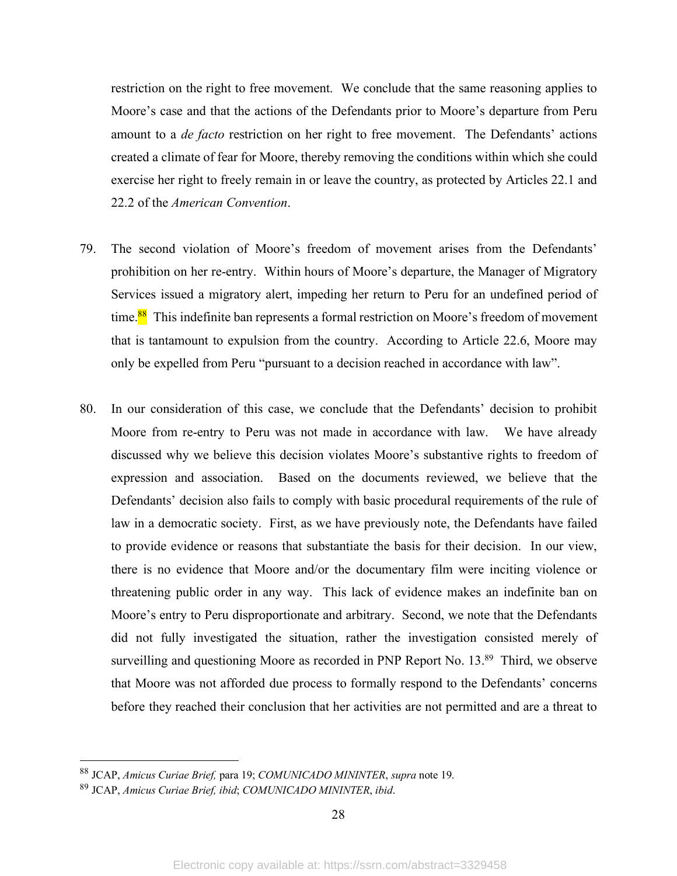restriction on the right to free movement. We conclude that the same reasoning applies to Moore's case and that the actions of the Defendants prior to Moore's departure from Peru amount to a *de facto* restriction on her right to free movement. The Defendants' actions created a climate of fear for Moore, thereby removing the conditions within which she could exercise her right to freely remain in or leave the country, as protected by Articles 22.1 and 22.2 of the *American Convention*.

- 79. The second violation of Moore's freedom of movement arises from the Defendants' prohibition on her re-entry. Within hours of Moore's departure, the Manager of Migratory Services issued a migratory alert, impeding her return to Peru for an undefined period of time.<sup>88</sup> This indefinite ban represents a formal restriction on Moore's freedom of movement that is tantamount to expulsion from the country. According to Article 22.6, Moore may only be expelled from Peru "pursuant to a decision reached in accordance with law".
- 80. In our consideration of this case, we conclude that the Defendants' decision to prohibit Moore from re-entry to Peru was not made in accordance with law. We have already discussed why we believe this decision violates Moore's substantive rights to freedom of expression and association. Based on the documents reviewed, we believe that the Defendants' decision also fails to comply with basic procedural requirements of the rule of law in a democratic society. First, as we have previously note, the Defendants have failed to provide evidence or reasons that substantiate the basis for their decision. In our view, there is no evidence that Moore and/or the documentary film were inciting violence or threatening public order in any way. This lack of evidence makes an indefinite ban on Moore's entry to Peru disproportionate and arbitrary. Second, we note that the Defendants did not fully investigated the situation, rather the investigation consisted merely of surveilling and questioning Moore as recorded in PNP Report No. 13.<sup>89</sup> Third, we observe that Moore was not afforded due process to formally respond to the Defendants' concerns before they reached their conclusion that her activities are not permitted and are a threat to

 <sup>88</sup> JCAP, *Amicus Curiae Brief,* para 19; *COMUNICADO MININTER*, *supra* note 19.

<sup>89</sup> JCAP, *Amicus Curiae Brief, ibid*; *COMUNICADO MININTER*, *ibid*.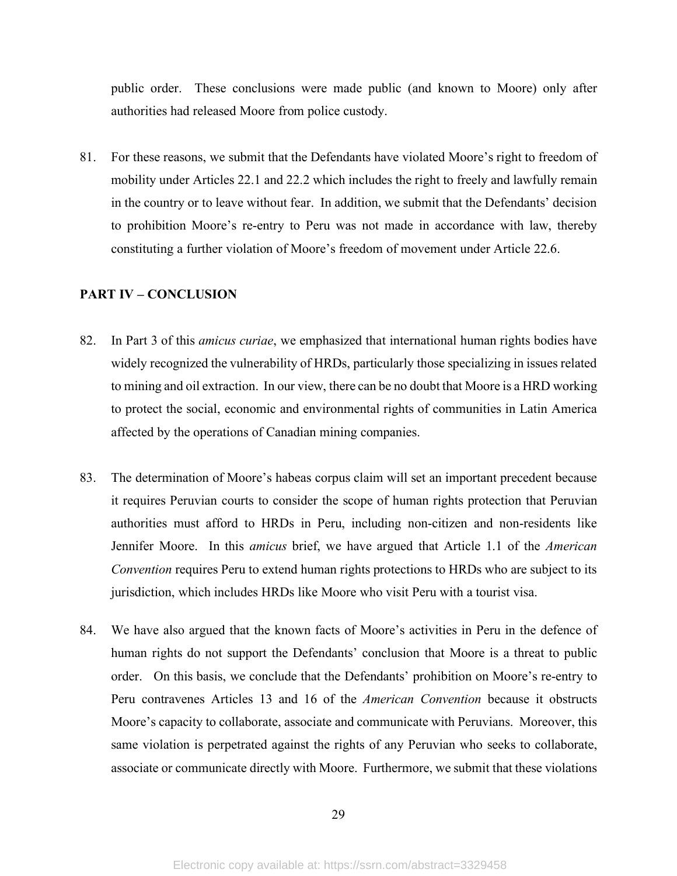public order. These conclusions were made public (and known to Moore) only after authorities had released Moore from police custody.

81. For these reasons, we submit that the Defendants have violated Moore's right to freedom of mobility under Articles 22.1 and 22.2 which includes the right to freely and lawfully remain in the country or to leave without fear. In addition, we submit that the Defendants' decision to prohibition Moore's re-entry to Peru was not made in accordance with law, thereby constituting a further violation of Moore's freedom of movement under Article 22.6.

# **PART IV – CONCLUSION**

- 82. In Part 3 of this *amicus curiae*, we emphasized that international human rights bodies have widely recognized the vulnerability of HRDs, particularly those specializing in issues related to mining and oil extraction. In our view, there can be no doubt that Moore is a HRD working to protect the social, economic and environmental rights of communities in Latin America affected by the operations of Canadian mining companies.
- 83. The determination of Moore's habeas corpus claim will set an important precedent because it requires Peruvian courts to consider the scope of human rights protection that Peruvian authorities must afford to HRDs in Peru, including non-citizen and non-residents like Jennifer Moore. In this *amicus* brief, we have argued that Article 1.1 of the *American Convention* requires Peru to extend human rights protections to HRDs who are subject to its jurisdiction, which includes HRDs like Moore who visit Peru with a tourist visa.
- 84. We have also argued that the known facts of Moore's activities in Peru in the defence of human rights do not support the Defendants' conclusion that Moore is a threat to public order. On this basis, we conclude that the Defendants' prohibition on Moore's re-entry to Peru contravenes Articles 13 and 16 of the *American Convention* because it obstructs Moore's capacity to collaborate, associate and communicate with Peruvians. Moreover, this same violation is perpetrated against the rights of any Peruvian who seeks to collaborate, associate or communicate directly with Moore. Furthermore, we submit that these violations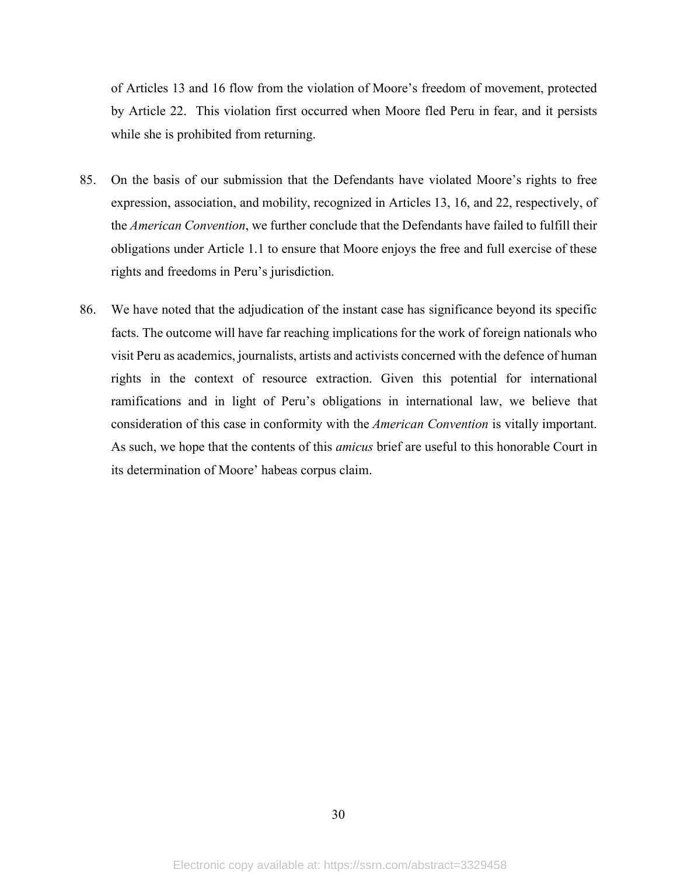of Articles 13 and 16 flow from the violation of Moore's freedom of movement, protected by Article 22. This violation first occurred when Moore fled Peru in fear, and it persists while she is prohibited from returning.

- 85. On the basis of our submission that the Defendants have violated Moore's rights to free expression, association, and mobility, recognized in Articles 13, 16, and 22, respectively, of the *American Convention*, we further conclude that the Defendants have failed to fulfill their obligations under Article 1.1 to ensure that Moore enjoys the free and full exercise of these rights and freedoms in Peru's jurisdiction.
- 86. We have noted that the adjudication of the instant case has significance beyond its specific facts. The outcome will have far reaching implications for the work of foreign nationals who visit Peru as academics, journalists, artists and activists concerned with the defence of human rights in the context of resource extraction. Given this potential for international ramifications and in light of Peru's obligations in international law, we believe that consideration of this case in conformity with the *American Convention* is vitally important. As such, we hope that the contents of this *amicus* brief are useful to this honorable Court in its determination of Moore' habeas corpus claim.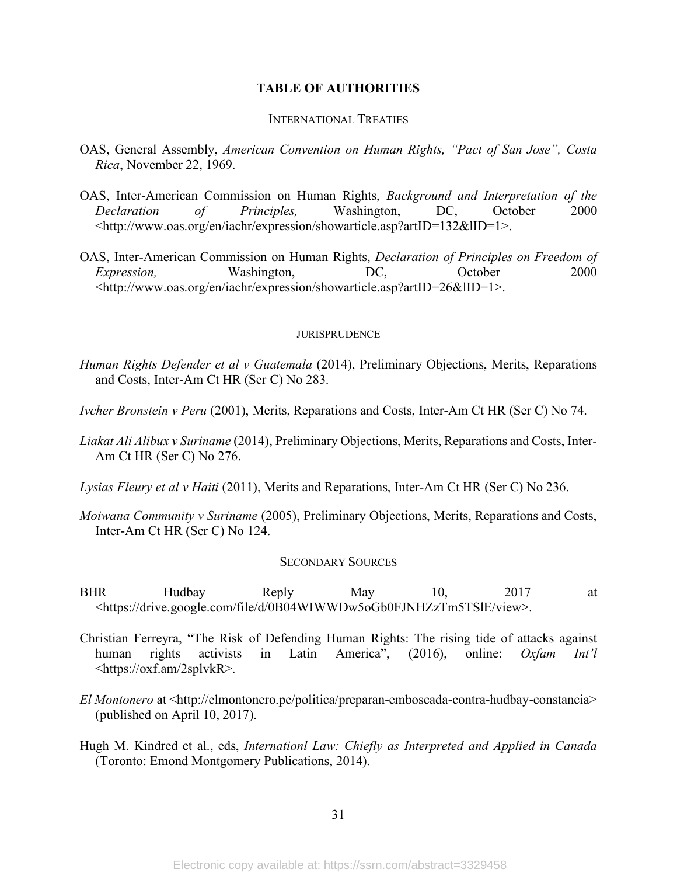# **TABLE OF AUTHORITIES**

#### INTERNATIONAL TREATIES

- OAS, General Assembly, *American Convention on Human Rights, "Pact of San Jose", Costa Rica*, November 22, 1969.
- OAS, Inter-American Commission on Human Rights, *Background and Interpretation of the Declaration of Principles,* Washington, DC, October 2000 <http://www.oas.org/en/iachr/expression/showarticle.asp?artID=132&lID=1>.
- OAS, Inter-American Commission on Human Rights, *Declaration of Principles on Freedom of Expression,* Washington, DC, October 2000 <http://www.oas.org/en/iachr/expression/showarticle.asp?artID=26&lID=1>.

#### **JURISPRUDENCE**

- *Human Rights Defender et al v Guatemala* (2014), Preliminary Objections, Merits, Reparations and Costs, Inter-Am Ct HR (Ser C) No 283.
- *Ivcher Bronstein v Peru* (2001), Merits, Reparations and Costs, Inter-Am Ct HR (Ser C) No 74.
- *Liakat Ali Alibux v Suriname* (2014), Preliminary Objections, Merits, Reparations and Costs, Inter-Am Ct HR (Ser C) No 276.
- *Lysias Fleury et al v Haiti* (2011), Merits and Reparations, Inter-Am Ct HR (Ser C) No 236.
- *Moiwana Community v Suriname* (2005), Preliminary Objections, Merits, Reparations and Costs, Inter-Am Ct HR (Ser C) No 124.

#### SECONDARY SOURCES

- BHR Hudbay Reply May 10, 2017 at <https://drive.google.com/file/d/0B04WIWWDw5oGb0FJNHZzTm5TSlE/view>.
- Christian Ferreyra, "The Risk of Defending Human Rights: The rising tide of attacks against human rights activists in Latin America", (2016), online: *Oxfam Int'l* <https://oxf.am/2splvkR>.
- *El Montonero* at <http://elmontonero.pe/politica/preparan-emboscada-contra-hudbay-constancia> (published on April 10, 2017).
- Hugh M. Kindred et al., eds, *Internationl Law: Chiefly as Interpreted and Applied in Canada* (Toronto: Emond Montgomery Publications, 2014).

31